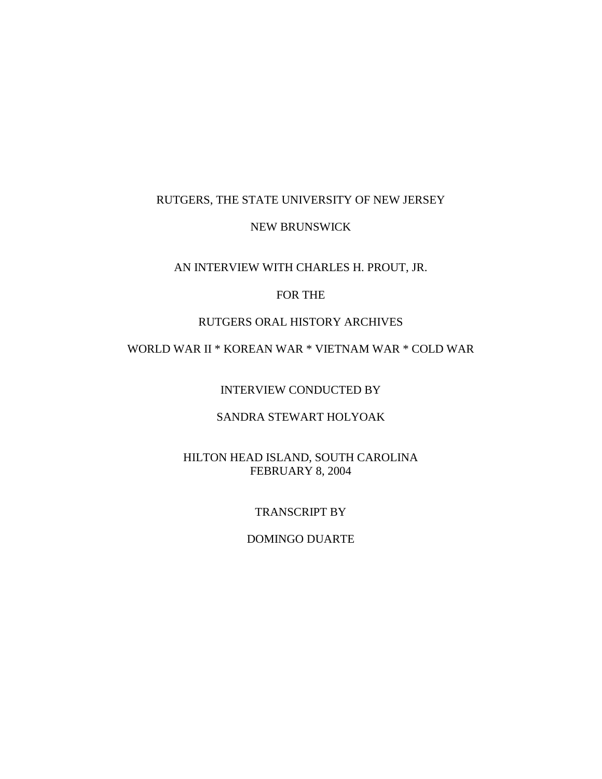## RUTGERS, THE STATE UNIVERSITY OF NEW JERSEY

### NEW BRUNSWICK

### AN INTERVIEW WITH CHARLES H. PROUT, JR.

## FOR THE

### RUTGERS ORAL HISTORY ARCHIVES

# WORLD WAR II \* KOREAN WAR \* VIETNAM WAR \* COLD WAR

INTERVIEW CONDUCTED BY

# SANDRA STEWART HOLYOAK

### HILTON HEAD ISLAND, SOUTH CAROLINA FEBRUARY 8, 2004

### TRANSCRIPT BY

### DOMINGO DUARTE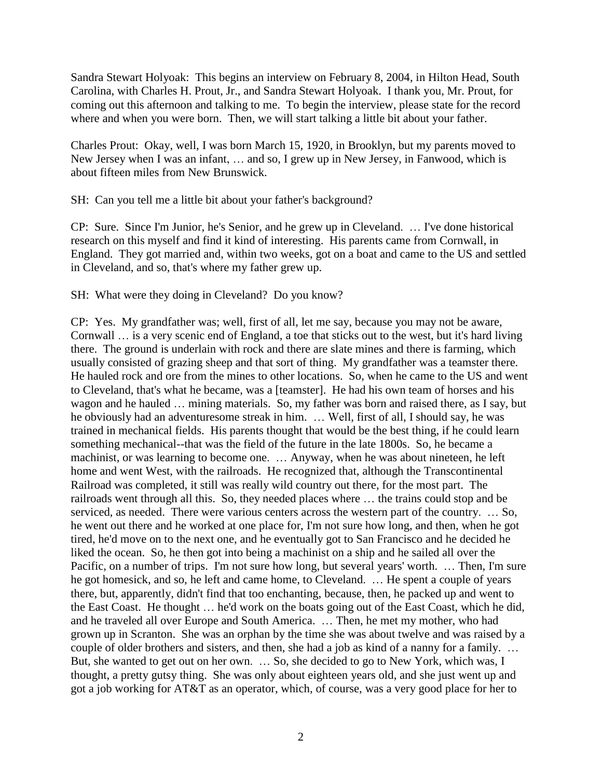Sandra Stewart Holyoak: This begins an interview on February 8, 2004, in Hilton Head, South Carolina, with Charles H. Prout, Jr., and Sandra Stewart Holyoak. I thank you, Mr. Prout, for coming out this afternoon and talking to me. To begin the interview, please state for the record where and when you were born. Then, we will start talking a little bit about your father.

Charles Prout: Okay, well, I was born March 15, 1920, in Brooklyn, but my parents moved to New Jersey when I was an infant, … and so, I grew up in New Jersey, in Fanwood, which is about fifteen miles from New Brunswick.

SH: Can you tell me a little bit about your father's background?

CP: Sure. Since I'm Junior, he's Senior, and he grew up in Cleveland. … I've done historical research on this myself and find it kind of interesting. His parents came from Cornwall, in England. They got married and, within two weeks, got on a boat and came to the US and settled in Cleveland, and so, that's where my father grew up.

SH: What were they doing in Cleveland? Do you know?

CP: Yes. My grandfather was; well, first of all, let me say, because you may not be aware, Cornwall … is a very scenic end of England, a toe that sticks out to the west, but it's hard living there. The ground is underlain with rock and there are slate mines and there is farming, which usually consisted of grazing sheep and that sort of thing. My grandfather was a teamster there. He hauled rock and ore from the mines to other locations. So, when he came to the US and went to Cleveland, that's what he became, was a [teamster]. He had his own team of horses and his wagon and he hauled … mining materials. So, my father was born and raised there, as I say, but he obviously had an adventuresome streak in him. … Well, first of all, I should say, he was trained in mechanical fields. His parents thought that would be the best thing, if he could learn something mechanical--that was the field of the future in the late 1800s. So, he became a machinist, or was learning to become one. … Anyway, when he was about nineteen, he left home and went West, with the railroads. He recognized that, although the Transcontinental Railroad was completed, it still was really wild country out there, for the most part. The railroads went through all this. So, they needed places where … the trains could stop and be serviced, as needed. There were various centers across the western part of the country. … So, he went out there and he worked at one place for, I'm not sure how long, and then, when he got tired, he'd move on to the next one, and he eventually got to San Francisco and he decided he liked the ocean. So, he then got into being a machinist on a ship and he sailed all over the Pacific, on a number of trips. I'm not sure how long, but several years' worth. … Then, I'm sure he got homesick, and so, he left and came home, to Cleveland. … He spent a couple of years there, but, apparently, didn't find that too enchanting, because, then, he packed up and went to the East Coast. He thought … he'd work on the boats going out of the East Coast, which he did, and he traveled all over Europe and South America. … Then, he met my mother, who had grown up in Scranton. She was an orphan by the time she was about twelve and was raised by a couple of older brothers and sisters, and then, she had a job as kind of a nanny for a family. … But, she wanted to get out on her own. … So, she decided to go to New York, which was, I thought, a pretty gutsy thing. She was only about eighteen years old, and she just went up and got a job working for AT&T as an operator, which, of course, was a very good place for her to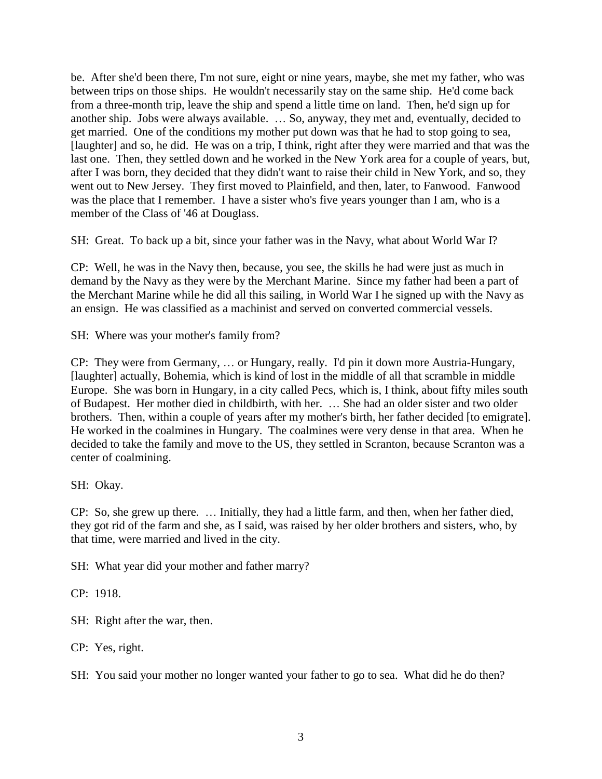be. After she'd been there, I'm not sure, eight or nine years, maybe, she met my father, who was between trips on those ships. He wouldn't necessarily stay on the same ship. He'd come back from a three-month trip, leave the ship and spend a little time on land. Then, he'd sign up for another ship. Jobs were always available. … So, anyway, they met and, eventually, decided to get married. One of the conditions my mother put down was that he had to stop going to sea, [laughter] and so, he did. He was on a trip, I think, right after they were married and that was the last one. Then, they settled down and he worked in the New York area for a couple of years, but, after I was born, they decided that they didn't want to raise their child in New York, and so, they went out to New Jersey. They first moved to Plainfield, and then, later, to Fanwood. Fanwood was the place that I remember. I have a sister who's five years younger than I am, who is a member of the Class of '46 at Douglass.

SH: Great. To back up a bit, since your father was in the Navy, what about World War I?

CP: Well, he was in the Navy then, because, you see, the skills he had were just as much in demand by the Navy as they were by the Merchant Marine. Since my father had been a part of the Merchant Marine while he did all this sailing, in World War I he signed up with the Navy as an ensign. He was classified as a machinist and served on converted commercial vessels.

SH: Where was your mother's family from?

CP: They were from Germany, … or Hungary, really. I'd pin it down more Austria-Hungary, [laughter] actually, Bohemia, which is kind of lost in the middle of all that scramble in middle Europe. She was born in Hungary, in a city called Pecs, which is, I think, about fifty miles south of Budapest. Her mother died in childbirth, with her. … She had an older sister and two older brothers. Then, within a couple of years after my mother's birth, her father decided [to emigrate]. He worked in the coalmines in Hungary. The coalmines were very dense in that area. When he decided to take the family and move to the US, they settled in Scranton, because Scranton was a center of coalmining.

SH: Okay.

CP: So, she grew up there. … Initially, they had a little farm, and then, when her father died, they got rid of the farm and she, as I said, was raised by her older brothers and sisters, who, by that time, were married and lived in the city.

SH: What year did your mother and father marry?

CP: 1918.

SH: Right after the war, then.

CP: Yes, right.

SH: You said your mother no longer wanted your father to go to sea. What did he do then?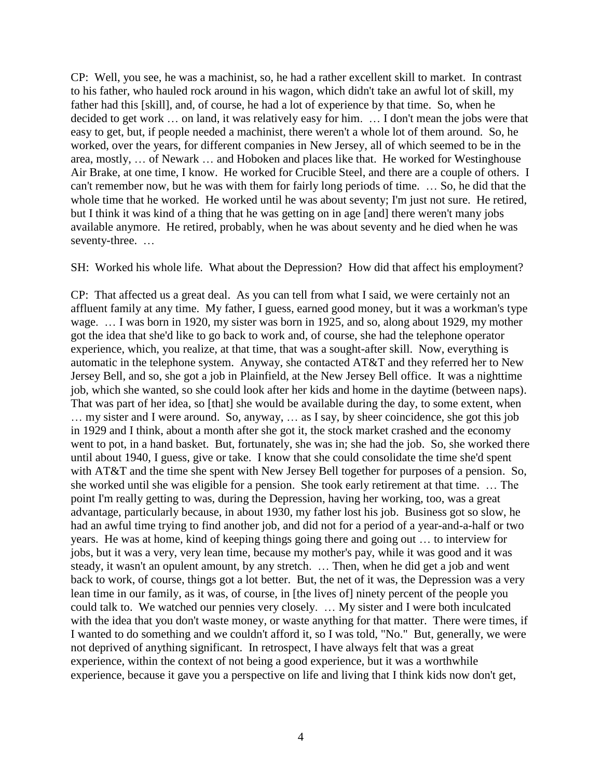CP: Well, you see, he was a machinist, so, he had a rather excellent skill to market. In contrast to his father, who hauled rock around in his wagon, which didn't take an awful lot of skill, my father had this [skill], and, of course, he had a lot of experience by that time. So, when he decided to get work … on land, it was relatively easy for him. … I don't mean the jobs were that easy to get, but, if people needed a machinist, there weren't a whole lot of them around. So, he worked, over the years, for different companies in New Jersey, all of which seemed to be in the area, mostly, … of Newark … and Hoboken and places like that. He worked for Westinghouse Air Brake, at one time, I know. He worked for Crucible Steel, and there are a couple of others. I can't remember now, but he was with them for fairly long periods of time. … So, he did that the whole time that he worked. He worked until he was about seventy; I'm just not sure. He retired, but I think it was kind of a thing that he was getting on in age [and] there weren't many jobs available anymore. He retired, probably, when he was about seventy and he died when he was seventy-three. …

SH: Worked his whole life. What about the Depression? How did that affect his employment?

CP: That affected us a great deal. As you can tell from what I said, we were certainly not an affluent family at any time. My father, I guess, earned good money, but it was a workman's type wage. … I was born in 1920, my sister was born in 1925, and so, along about 1929, my mother got the idea that she'd like to go back to work and, of course, she had the telephone operator experience, which, you realize, at that time, that was a sought-after skill. Now, everything is automatic in the telephone system. Anyway, she contacted AT&T and they referred her to New Jersey Bell, and so, she got a job in Plainfield, at the New Jersey Bell office. It was a nighttime job, which she wanted, so she could look after her kids and home in the daytime (between naps). That was part of her idea, so [that] she would be available during the day, to some extent, when … my sister and I were around. So, anyway, … as I say, by sheer coincidence, she got this job in 1929 and I think, about a month after she got it, the stock market crashed and the economy went to pot, in a hand basket. But, fortunately, she was in; she had the job. So, she worked there until about 1940, I guess, give or take. I know that she could consolidate the time she'd spent with AT&T and the time she spent with New Jersey Bell together for purposes of a pension. So, she worked until she was eligible for a pension. She took early retirement at that time. … The point I'm really getting to was, during the Depression, having her working, too, was a great advantage, particularly because, in about 1930, my father lost his job. Business got so slow, he had an awful time trying to find another job, and did not for a period of a year-and-a-half or two years. He was at home, kind of keeping things going there and going out … to interview for jobs, but it was a very, very lean time, because my mother's pay, while it was good and it was steady, it wasn't an opulent amount, by any stretch. … Then, when he did get a job and went back to work, of course, things got a lot better. But, the net of it was, the Depression was a very lean time in our family, as it was, of course, in [the lives of] ninety percent of the people you could talk to. We watched our pennies very closely. … My sister and I were both inculcated with the idea that you don't waste money, or waste anything for that matter. There were times, if I wanted to do something and we couldn't afford it, so I was told, "No." But, generally, we were not deprived of anything significant. In retrospect, I have always felt that was a great experience, within the context of not being a good experience, but it was a worthwhile experience, because it gave you a perspective on life and living that I think kids now don't get,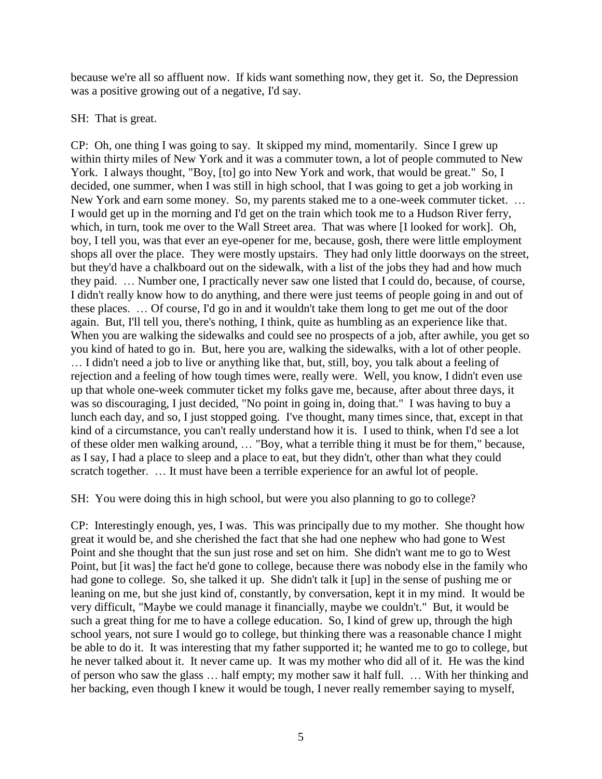because we're all so affluent now. If kids want something now, they get it. So, the Depression was a positive growing out of a negative, I'd say.

### SH: That is great.

CP: Oh, one thing I was going to say. It skipped my mind, momentarily. Since I grew up within thirty miles of New York and it was a commuter town, a lot of people commuted to New York. I always thought, "Boy, [to] go into New York and work, that would be great." So, I decided, one summer, when I was still in high school, that I was going to get a job working in New York and earn some money. So, my parents staked me to a one-week commuter ticket. … I would get up in the morning and I'd get on the train which took me to a Hudson River ferry, which, in turn, took me over to the Wall Street area. That was where [I looked for work]. Oh, boy, I tell you, was that ever an eye-opener for me, because, gosh, there were little employment shops all over the place. They were mostly upstairs. They had only little doorways on the street, but they'd have a chalkboard out on the sidewalk, with a list of the jobs they had and how much they paid. … Number one, I practically never saw one listed that I could do, because, of course, I didn't really know how to do anything, and there were just teems of people going in and out of these places. … Of course, I'd go in and it wouldn't take them long to get me out of the door again. But, I'll tell you, there's nothing, I think, quite as humbling as an experience like that. When you are walking the sidewalks and could see no prospects of a job, after awhile, you get so you kind of hated to go in. But, here you are, walking the sidewalks, with a lot of other people. … I didn't need a job to live or anything like that, but, still, boy, you talk about a feeling of rejection and a feeling of how tough times were, really were. Well, you know, I didn't even use up that whole one-week commuter ticket my folks gave me, because, after about three days, it was so discouraging, I just decided, "No point in going in, doing that." I was having to buy a lunch each day, and so, I just stopped going. I've thought, many times since, that, except in that kind of a circumstance, you can't really understand how it is. I used to think, when I'd see a lot of these older men walking around, … "Boy, what a terrible thing it must be for them," because, as I say, I had a place to sleep and a place to eat, but they didn't, other than what they could scratch together. … It must have been a terrible experience for an awful lot of people.

SH: You were doing this in high school, but were you also planning to go to college?

CP: Interestingly enough, yes, I was. This was principally due to my mother. She thought how great it would be, and she cherished the fact that she had one nephew who had gone to West Point and she thought that the sun just rose and set on him. She didn't want me to go to West Point, but [it was] the fact he'd gone to college, because there was nobody else in the family who had gone to college. So, she talked it up. She didn't talk it [up] in the sense of pushing me or leaning on me, but she just kind of, constantly, by conversation, kept it in my mind. It would be very difficult, "Maybe we could manage it financially, maybe we couldn't." But, it would be such a great thing for me to have a college education. So, I kind of grew up, through the high school years, not sure I would go to college, but thinking there was a reasonable chance I might be able to do it. It was interesting that my father supported it; he wanted me to go to college, but he never talked about it. It never came up. It was my mother who did all of it. He was the kind of person who saw the glass … half empty; my mother saw it half full. … With her thinking and her backing, even though I knew it would be tough, I never really remember saying to myself,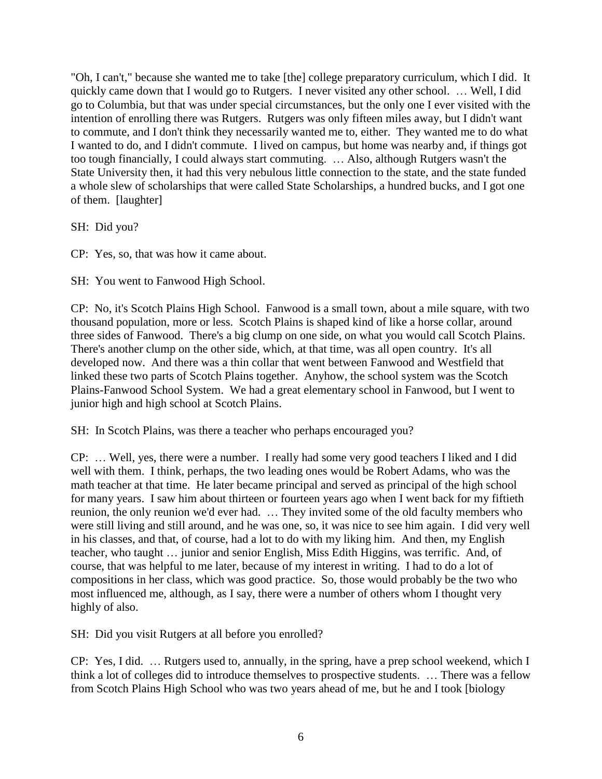"Oh, I can't," because she wanted me to take [the] college preparatory curriculum, which I did. It quickly came down that I would go to Rutgers. I never visited any other school. … Well, I did go to Columbia, but that was under special circumstances, but the only one I ever visited with the intention of enrolling there was Rutgers. Rutgers was only fifteen miles away, but I didn't want to commute, and I don't think they necessarily wanted me to, either. They wanted me to do what I wanted to do, and I didn't commute. I lived on campus, but home was nearby and, if things got too tough financially, I could always start commuting. … Also, although Rutgers wasn't the State University then, it had this very nebulous little connection to the state, and the state funded a whole slew of scholarships that were called State Scholarships, a hundred bucks, and I got one of them. [laughter]

SH: Did you?

CP: Yes, so, that was how it came about.

SH: You went to Fanwood High School.

CP: No, it's Scotch Plains High School. Fanwood is a small town, about a mile square, with two thousand population, more or less. Scotch Plains is shaped kind of like a horse collar, around three sides of Fanwood. There's a big clump on one side, on what you would call Scotch Plains. There's another clump on the other side, which, at that time, was all open country. It's all developed now. And there was a thin collar that went between Fanwood and Westfield that linked these two parts of Scotch Plains together. Anyhow, the school system was the Scotch Plains-Fanwood School System. We had a great elementary school in Fanwood, but I went to junior high and high school at Scotch Plains.

SH: In Scotch Plains, was there a teacher who perhaps encouraged you?

CP: … Well, yes, there were a number. I really had some very good teachers I liked and I did well with them. I think, perhaps, the two leading ones would be Robert Adams, who was the math teacher at that time. He later became principal and served as principal of the high school for many years. I saw him about thirteen or fourteen years ago when I went back for my fiftieth reunion, the only reunion we'd ever had. … They invited some of the old faculty members who were still living and still around, and he was one, so, it was nice to see him again. I did very well in his classes, and that, of course, had a lot to do with my liking him. And then, my English teacher, who taught … junior and senior English, Miss Edith Higgins, was terrific. And, of course, that was helpful to me later, because of my interest in writing. I had to do a lot of compositions in her class, which was good practice. So, those would probably be the two who most influenced me, although, as I say, there were a number of others whom I thought very highly of also.

SH: Did you visit Rutgers at all before you enrolled?

CP: Yes, I did. … Rutgers used to, annually, in the spring, have a prep school weekend, which I think a lot of colleges did to introduce themselves to prospective students. … There was a fellow from Scotch Plains High School who was two years ahead of me, but he and I took [biology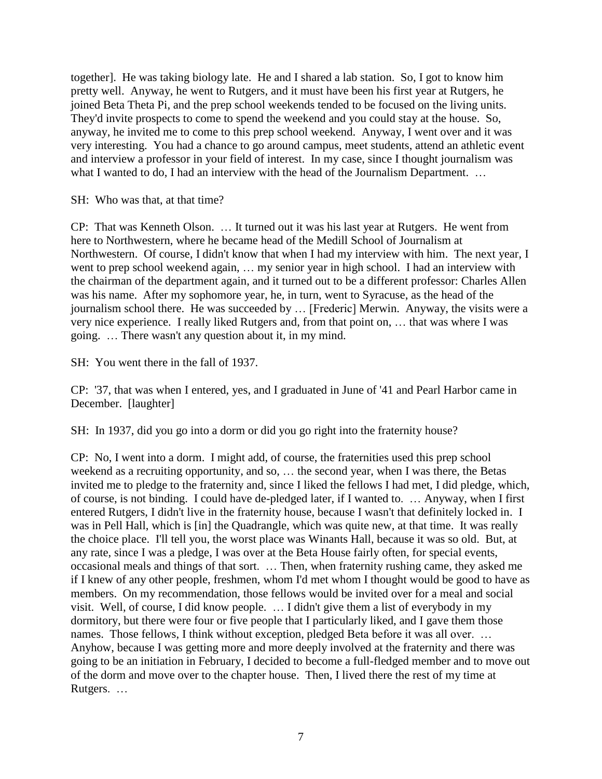together]. He was taking biology late. He and I shared a lab station. So, I got to know him pretty well. Anyway, he went to Rutgers, and it must have been his first year at Rutgers, he joined Beta Theta Pi, and the prep school weekends tended to be focused on the living units. They'd invite prospects to come to spend the weekend and you could stay at the house. So, anyway, he invited me to come to this prep school weekend. Anyway, I went over and it was very interesting. You had a chance to go around campus, meet students, attend an athletic event and interview a professor in your field of interest. In my case, since I thought journalism was what I wanted to do, I had an interview with the head of the Journalism Department. ...

SH: Who was that, at that time?

CP: That was Kenneth Olson. … It turned out it was his last year at Rutgers. He went from here to Northwestern, where he became head of the Medill School of Journalism at Northwestern. Of course, I didn't know that when I had my interview with him. The next year, I went to prep school weekend again, … my senior year in high school. I had an interview with the chairman of the department again, and it turned out to be a different professor: Charles Allen was his name. After my sophomore year, he, in turn, went to Syracuse, as the head of the journalism school there. He was succeeded by … [Frederic] Merwin. Anyway, the visits were a very nice experience. I really liked Rutgers and, from that point on, … that was where I was going. … There wasn't any question about it, in my mind.

SH: You went there in the fall of 1937.

CP: '37, that was when I entered, yes, and I graduated in June of '41 and Pearl Harbor came in December. [laughter]

SH: In 1937, did you go into a dorm or did you go right into the fraternity house?

CP: No, I went into a dorm. I might add, of course, the fraternities used this prep school weekend as a recruiting opportunity, and so, … the second year, when I was there, the Betas invited me to pledge to the fraternity and, since I liked the fellows I had met, I did pledge, which, of course, is not binding. I could have de-pledged later, if I wanted to. … Anyway, when I first entered Rutgers, I didn't live in the fraternity house, because I wasn't that definitely locked in. I was in Pell Hall, which is [in] the Quadrangle, which was quite new, at that time. It was really the choice place. I'll tell you, the worst place was Winants Hall, because it was so old. But, at any rate, since I was a pledge, I was over at the Beta House fairly often, for special events, occasional meals and things of that sort. … Then, when fraternity rushing came, they asked me if I knew of any other people, freshmen, whom I'd met whom I thought would be good to have as members. On my recommendation, those fellows would be invited over for a meal and social visit. Well, of course, I did know people. … I didn't give them a list of everybody in my dormitory, but there were four or five people that I particularly liked, and I gave them those names. Those fellows, I think without exception, pledged Beta before it was all over. ... Anyhow, because I was getting more and more deeply involved at the fraternity and there was going to be an initiation in February, I decided to become a full-fledged member and to move out of the dorm and move over to the chapter house. Then, I lived there the rest of my time at Rutgers. …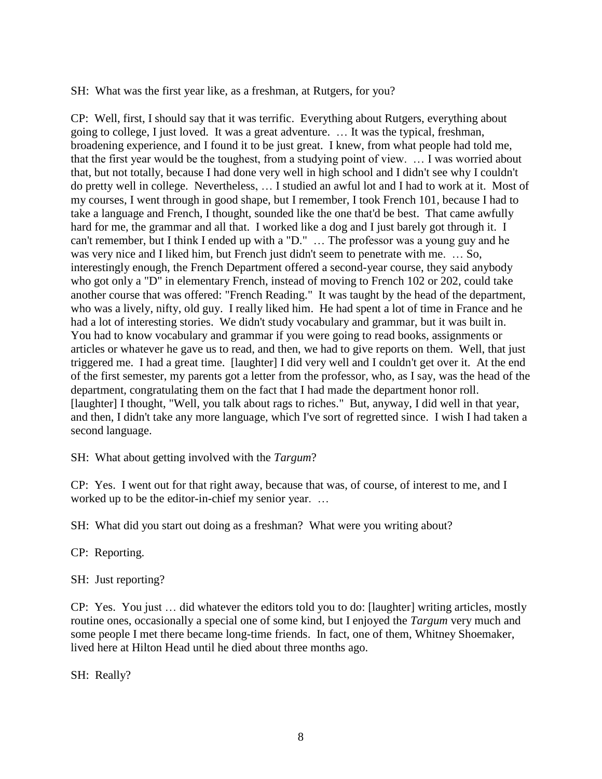SH: What was the first year like, as a freshman, at Rutgers, for you?

CP: Well, first, I should say that it was terrific. Everything about Rutgers, everything about going to college, I just loved. It was a great adventure. … It was the typical, freshman, broadening experience, and I found it to be just great. I knew, from what people had told me, that the first year would be the toughest, from a studying point of view. … I was worried about that, but not totally, because I had done very well in high school and I didn't see why I couldn't do pretty well in college. Nevertheless, … I studied an awful lot and I had to work at it. Most of my courses, I went through in good shape, but I remember, I took French 101, because I had to take a language and French, I thought, sounded like the one that'd be best. That came awfully hard for me, the grammar and all that. I worked like a dog and I just barely got through it. I can't remember, but I think I ended up with a "D." … The professor was a young guy and he was very nice and I liked him, but French just didn't seem to penetrate with me. … So, interestingly enough, the French Department offered a second-year course, they said anybody who got only a "D" in elementary French, instead of moving to French 102 or 202, could take another course that was offered: "French Reading." It was taught by the head of the department, who was a lively, nifty, old guy. I really liked him. He had spent a lot of time in France and he had a lot of interesting stories. We didn't study vocabulary and grammar, but it was built in. You had to know vocabulary and grammar if you were going to read books, assignments or articles or whatever he gave us to read, and then, we had to give reports on them. Well, that just triggered me. I had a great time. [laughter] I did very well and I couldn't get over it. At the end of the first semester, my parents got a letter from the professor, who, as I say, was the head of the department, congratulating them on the fact that I had made the department honor roll. [laughter] I thought, "Well, you talk about rags to riches." But, anyway, I did well in that year, and then, I didn't take any more language, which I've sort of regretted since. I wish I had taken a second language.

SH: What about getting involved with the *Targum*?

CP: Yes. I went out for that right away, because that was, of course, of interest to me, and I worked up to be the editor-in-chief my senior year. …

SH: What did you start out doing as a freshman? What were you writing about?

CP: Reporting.

SH: Just reporting?

CP: Yes. You just … did whatever the editors told you to do: [laughter] writing articles, mostly routine ones, occasionally a special one of some kind, but I enjoyed the *Targum* very much and some people I met there became long-time friends. In fact, one of them, Whitney Shoemaker, lived here at Hilton Head until he died about three months ago.

SH: Really?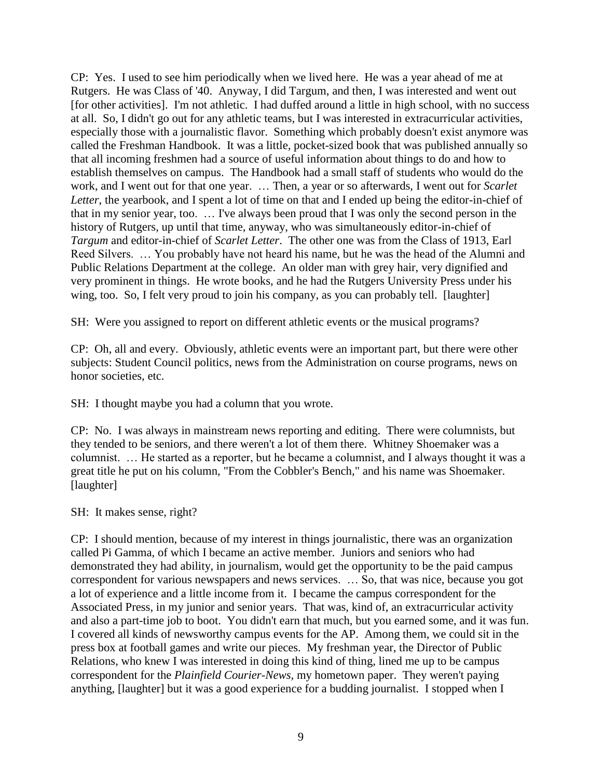CP: Yes. I used to see him periodically when we lived here. He was a year ahead of me at Rutgers. He was Class of '40. Anyway, I did Targum, and then, I was interested and went out [for other activities]. I'm not athletic. I had duffed around a little in high school, with no success at all. So, I didn't go out for any athletic teams, but I was interested in extracurricular activities, especially those with a journalistic flavor. Something which probably doesn't exist anymore was called the Freshman Handbook. It was a little, pocket-sized book that was published annually so that all incoming freshmen had a source of useful information about things to do and how to establish themselves on campus. The Handbook had a small staff of students who would do the work, and I went out for that one year. … Then, a year or so afterwards, I went out for *Scarlet Letter*, the yearbook, and I spent a lot of time on that and I ended up being the editor-in-chief of that in my senior year, too. … I've always been proud that I was only the second person in the history of Rutgers, up until that time, anyway, who was simultaneously editor-in-chief of *Targum* and editor-in-chief of *Scarlet Letter*. The other one was from the Class of 1913, Earl Reed Silvers. … You probably have not heard his name, but he was the head of the Alumni and Public Relations Department at the college. An older man with grey hair, very dignified and very prominent in things. He wrote books, and he had the Rutgers University Press under his wing, too. So, I felt very proud to join his company, as you can probably tell. [laughter]

SH: Were you assigned to report on different athletic events or the musical programs?

CP: Oh, all and every. Obviously, athletic events were an important part, but there were other subjects: Student Council politics, news from the Administration on course programs, news on honor societies, etc.

SH: I thought maybe you had a column that you wrote.

CP: No. I was always in mainstream news reporting and editing. There were columnists, but they tended to be seniors, and there weren't a lot of them there. Whitney Shoemaker was a columnist. … He started as a reporter, but he became a columnist, and I always thought it was a great title he put on his column, "From the Cobbler's Bench," and his name was Shoemaker. [laughter]

SH: It makes sense, right?

CP: I should mention, because of my interest in things journalistic, there was an organization called Pi Gamma, of which I became an active member. Juniors and seniors who had demonstrated they had ability, in journalism, would get the opportunity to be the paid campus correspondent for various newspapers and news services. … So, that was nice, because you got a lot of experience and a little income from it. I became the campus correspondent for the Associated Press, in my junior and senior years. That was, kind of, an extracurricular activity and also a part-time job to boot. You didn't earn that much, but you earned some, and it was fun. I covered all kinds of newsworthy campus events for the AP. Among them, we could sit in the press box at football games and write our pieces. My freshman year, the Director of Public Relations, who knew I was interested in doing this kind of thing, lined me up to be campus correspondent for the *Plainfield Courier-News,* my hometown paper. They weren't paying anything, [laughter] but it was a good experience for a budding journalist. I stopped when I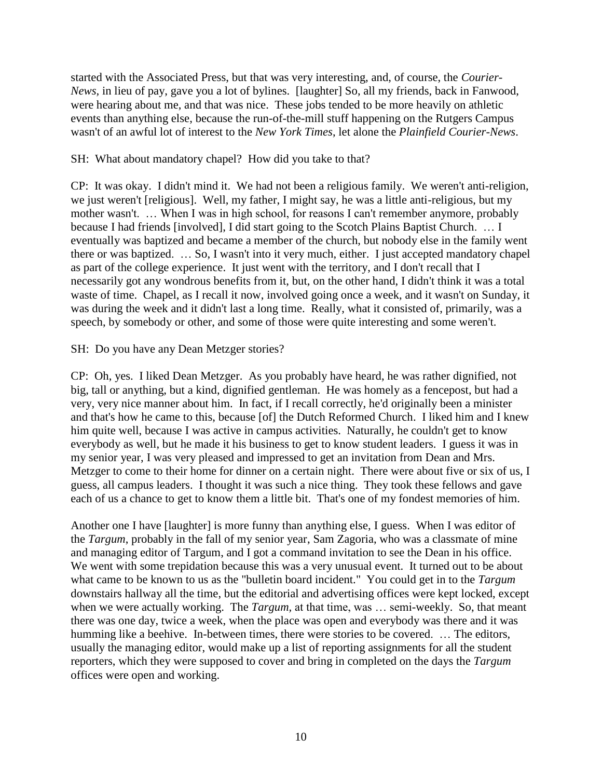started with the Associated Press, but that was very interesting, and, of course, the *Courier-News,* in lieu of pay, gave you a lot of bylines. [laughter] So, all my friends, back in Fanwood, were hearing about me, and that was nice. These jobs tended to be more heavily on athletic events than anything else, because the run-of-the-mill stuff happening on the Rutgers Campus wasn't of an awful lot of interest to the *New York Times*, let alone the *Plainfield Courier-News*.

## SH: What about mandatory chapel? How did you take to that?

CP: It was okay. I didn't mind it. We had not been a religious family. We weren't anti-religion, we just weren't [religious]. Well, my father, I might say, he was a little anti-religious, but my mother wasn't. … When I was in high school, for reasons I can't remember anymore, probably because I had friends [involved], I did start going to the Scotch Plains Baptist Church. … I eventually was baptized and became a member of the church, but nobody else in the family went there or was baptized. … So, I wasn't into it very much, either. I just accepted mandatory chapel as part of the college experience. It just went with the territory, and I don't recall that I necessarily got any wondrous benefits from it, but, on the other hand, I didn't think it was a total waste of time. Chapel, as I recall it now, involved going once a week, and it wasn't on Sunday, it was during the week and it didn't last a long time. Really, what it consisted of, primarily, was a speech, by somebody or other, and some of those were quite interesting and some weren't.

### SH: Do you have any Dean Metzger stories?

CP: Oh, yes. I liked Dean Metzger. As you probably have heard, he was rather dignified, not big, tall or anything, but a kind, dignified gentleman. He was homely as a fencepost, but had a very, very nice manner about him. In fact, if I recall correctly, he'd originally been a minister and that's how he came to this, because [of] the Dutch Reformed Church. I liked him and I knew him quite well, because I was active in campus activities. Naturally, he couldn't get to know everybody as well, but he made it his business to get to know student leaders. I guess it was in my senior year, I was very pleased and impressed to get an invitation from Dean and Mrs. Metzger to come to their home for dinner on a certain night. There were about five or six of us, I guess, all campus leaders. I thought it was such a nice thing. They took these fellows and gave each of us a chance to get to know them a little bit. That's one of my fondest memories of him.

Another one I have [laughter] is more funny than anything else, I guess. When I was editor of the *Targum*, probably in the fall of my senior year, Sam Zagoria, who was a classmate of mine and managing editor of Targum, and I got a command invitation to see the Dean in his office. We went with some trepidation because this was a very unusual event. It turned out to be about what came to be known to us as the "bulletin board incident." You could get in to the *Targum* downstairs hallway all the time, but the editorial and advertising offices were kept locked, except when we were actually working. The *Targum*, at that time, was ... semi-weekly. So, that meant there was one day, twice a week, when the place was open and everybody was there and it was humming like a beehive. In-between times, there were stories to be covered. … The editors, usually the managing editor, would make up a list of reporting assignments for all the student reporters, which they were supposed to cover and bring in completed on the days the *Targum* offices were open and working.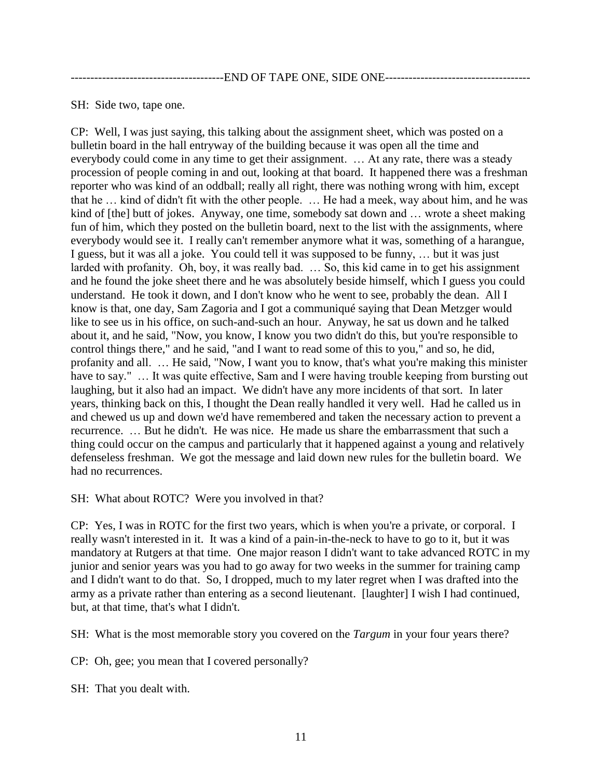---------------------------------------END OF TAPE ONE, SIDE ONE-------------------------------------

SH: Side two, tape one.

CP: Well, I was just saying, this talking about the assignment sheet, which was posted on a bulletin board in the hall entryway of the building because it was open all the time and everybody could come in any time to get their assignment. … At any rate, there was a steady procession of people coming in and out, looking at that board. It happened there was a freshman reporter who was kind of an oddball; really all right, there was nothing wrong with him, except that he … kind of didn't fit with the other people. … He had a meek, way about him, and he was kind of [the] butt of jokes. Anyway, one time, somebody sat down and ... wrote a sheet making fun of him, which they posted on the bulletin board, next to the list with the assignments, where everybody would see it. I really can't remember anymore what it was, something of a harangue, I guess, but it was all a joke. You could tell it was supposed to be funny, … but it was just larded with profanity. Oh, boy, it was really bad. … So, this kid came in to get his assignment and he found the joke sheet there and he was absolutely beside himself, which I guess you could understand. He took it down, and I don't know who he went to see, probably the dean. All I know is that, one day, Sam Zagoria and I got a communiqué saying that Dean Metzger would like to see us in his office, on such-and-such an hour. Anyway, he sat us down and he talked about it, and he said, "Now, you know, I know you two didn't do this, but you're responsible to control things there," and he said, "and I want to read some of this to you," and so, he did, profanity and all. … He said, "Now, I want you to know, that's what you're making this minister have to say." ... It was quite effective, Sam and I were having trouble keeping from bursting out laughing, but it also had an impact. We didn't have any more incidents of that sort. In later years, thinking back on this, I thought the Dean really handled it very well. Had he called us in and chewed us up and down we'd have remembered and taken the necessary action to prevent a recurrence. … But he didn't. He was nice. He made us share the embarrassment that such a thing could occur on the campus and particularly that it happened against a young and relatively defenseless freshman. We got the message and laid down new rules for the bulletin board. We had no recurrences.

SH: What about ROTC? Were you involved in that?

CP: Yes, I was in ROTC for the first two years, which is when you're a private, or corporal. I really wasn't interested in it. It was a kind of a pain-in-the-neck to have to go to it, but it was mandatory at Rutgers at that time. One major reason I didn't want to take advanced ROTC in my junior and senior years was you had to go away for two weeks in the summer for training camp and I didn't want to do that. So, I dropped, much to my later regret when I was drafted into the army as a private rather than entering as a second lieutenant. [laughter] I wish I had continued, but, at that time, that's what I didn't.

SH: What is the most memorable story you covered on the *Targum* in your four years there?

CP: Oh, gee; you mean that I covered personally?

SH: That you dealt with.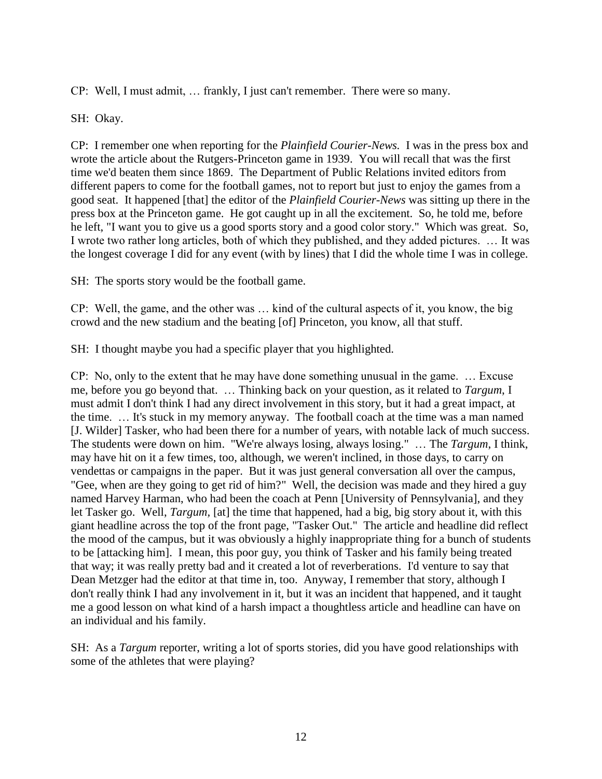CP: Well, I must admit, … frankly, I just can't remember. There were so many.

SH: Okay.

CP: I remember one when reporting for the *Plainfield Courier-News.* I was in the press box and wrote the article about the Rutgers-Princeton game in 1939. You will recall that was the first time we'd beaten them since 1869. The Department of Public Relations invited editors from different papers to come for the football games, not to report but just to enjoy the games from a good seat. It happened [that] the editor of the *Plainfield Courier-News* was sitting up there in the press box at the Princeton game. He got caught up in all the excitement. So, he told me, before he left, "I want you to give us a good sports story and a good color story." Which was great. So, I wrote two rather long articles, both of which they published, and they added pictures. … It was the longest coverage I did for any event (with by lines) that I did the whole time I was in college.

SH: The sports story would be the football game.

CP: Well, the game, and the other was … kind of the cultural aspects of it, you know, the big crowd and the new stadium and the beating [of] Princeton, you know, all that stuff.

SH: I thought maybe you had a specific player that you highlighted.

CP: No, only to the extent that he may have done something unusual in the game. … Excuse me, before you go beyond that. … Thinking back on your question, as it related to *Targum*, I must admit I don't think I had any direct involvement in this story, but it had a great impact, at the time. … It's stuck in my memory anyway. The football coach at the time was a man named [J. Wilder] Tasker, who had been there for a number of years, with notable lack of much success. The students were down on him. "We're always losing, always losing." … The *Targum*, I think, may have hit on it a few times, too, although, we weren't inclined, in those days, to carry on vendettas or campaigns in the paper. But it was just general conversation all over the campus, "Gee, when are they going to get rid of him?" Well, the decision was made and they hired a guy named Harvey Harman, who had been the coach at Penn [University of Pennsylvania], and they let Tasker go. Well, *Targum,* [at] the time that happened, had a big, big story about it, with this giant headline across the top of the front page, "Tasker Out." The article and headline did reflect the mood of the campus, but it was obviously a highly inappropriate thing for a bunch of students to be [attacking him]. I mean, this poor guy, you think of Tasker and his family being treated that way; it was really pretty bad and it created a lot of reverberations. I'd venture to say that Dean Metzger had the editor at that time in, too. Anyway, I remember that story, although I don't really think I had any involvement in it, but it was an incident that happened, and it taught me a good lesson on what kind of a harsh impact a thoughtless article and headline can have on an individual and his family.

SH: As a *Targum* reporter, writing a lot of sports stories, did you have good relationships with some of the athletes that were playing?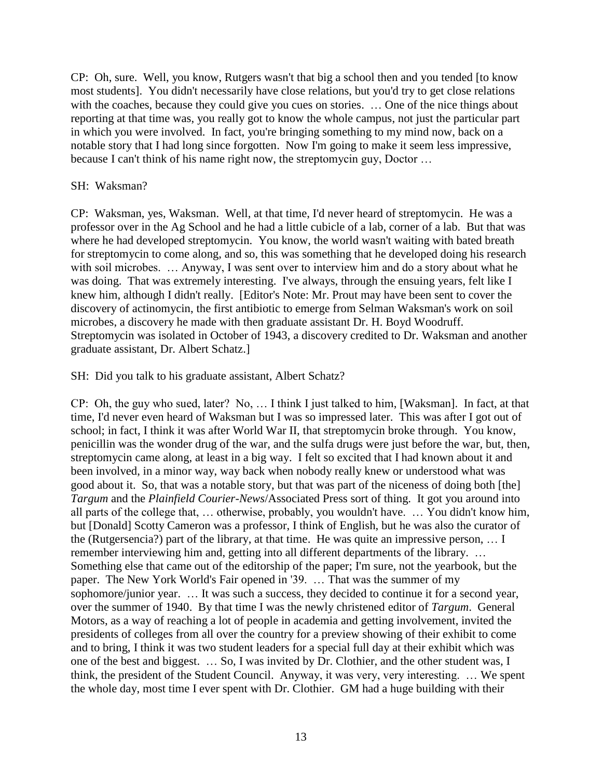CP: Oh, sure. Well, you know, Rutgers wasn't that big a school then and you tended [to know most students]. You didn't necessarily have close relations, but you'd try to get close relations with the coaches, because they could give you cues on stories. ... One of the nice things about reporting at that time was, you really got to know the whole campus, not just the particular part in which you were involved. In fact, you're bringing something to my mind now, back on a notable story that I had long since forgotten. Now I'm going to make it seem less impressive, because I can't think of his name right now, the streptomycin guy, Doctor …

## SH: Waksman?

CP: Waksman, yes, Waksman. Well, at that time, I'd never heard of streptomycin. He was a professor over in the Ag School and he had a little cubicle of a lab, corner of a lab. But that was where he had developed streptomycin. You know, the world wasn't waiting with bated breath for streptomycin to come along, and so, this was something that he developed doing his research with soil microbes. ... Anyway, I was sent over to interview him and do a story about what he was doing. That was extremely interesting. I've always, through the ensuing years, felt like I knew him, although I didn't really. [Editor's Note: Mr. Prout may have been sent to cover the discovery of actinomycin, the first antibiotic to emerge from Selman Waksman's work on soil microbes, a discovery he made with then graduate assistant Dr. H. Boyd Woodruff. Streptomycin was isolated in October of 1943, a discovery credited to Dr. Waksman and another graduate assistant, Dr. Albert Schatz.]

SH: Did you talk to his graduate assistant, Albert Schatz?

CP: Oh, the guy who sued, later? No, … I think I just talked to him, [Waksman]. In fact, at that time, I'd never even heard of Waksman but I was so impressed later. This was after I got out of school; in fact, I think it was after World War II, that streptomycin broke through. You know, penicillin was the wonder drug of the war, and the sulfa drugs were just before the war, but, then, streptomycin came along, at least in a big way. I felt so excited that I had known about it and been involved, in a minor way, way back when nobody really knew or understood what was good about it. So, that was a notable story, but that was part of the niceness of doing both [the] *Targum* and the *Plainfield Courier-News*/Associated Press sort of thing. It got you around into all parts of the college that, … otherwise, probably, you wouldn't have. … You didn't know him, but [Donald] Scotty Cameron was a professor, I think of English, but he was also the curator of the (Rutgersencia?) part of the library, at that time. He was quite an impressive person, … I remember interviewing him and, getting into all different departments of the library. … Something else that came out of the editorship of the paper; I'm sure, not the yearbook, but the paper. The New York World's Fair opened in '39. … That was the summer of my sophomore/junior year. … It was such a success, they decided to continue it for a second year, over the summer of 1940. By that time I was the newly christened editor of *Targum*. General Motors, as a way of reaching a lot of people in academia and getting involvement, invited the presidents of colleges from all over the country for a preview showing of their exhibit to come and to bring, I think it was two student leaders for a special full day at their exhibit which was one of the best and biggest. … So, I was invited by Dr. Clothier, and the other student was, I think, the president of the Student Council. Anyway, it was very, very interesting. … We spent the whole day, most time I ever spent with Dr. Clothier. GM had a huge building with their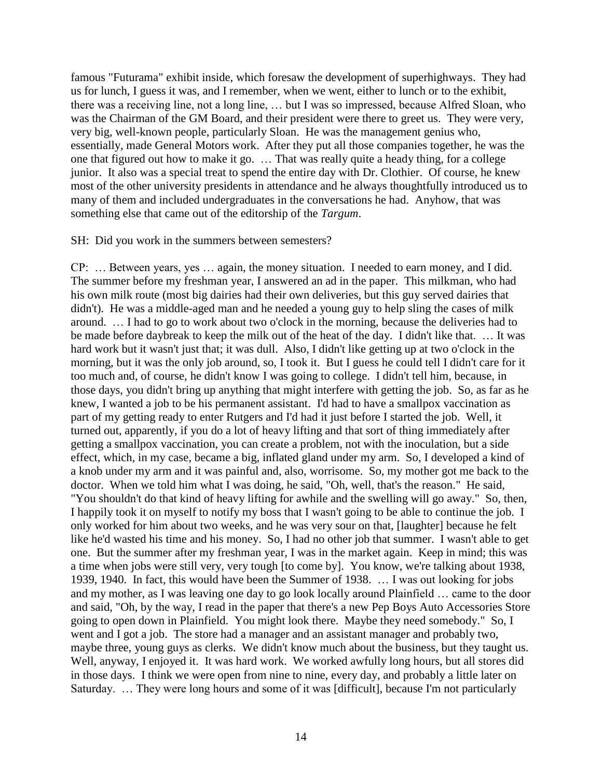famous "Futurama" exhibit inside, which foresaw the development of superhighways. They had us for lunch, I guess it was, and I remember, when we went, either to lunch or to the exhibit, there was a receiving line, not a long line, … but I was so impressed, because Alfred Sloan, who was the Chairman of the GM Board, and their president were there to greet us. They were very, very big, well-known people, particularly Sloan. He was the management genius who, essentially, made General Motors work. After they put all those companies together, he was the one that figured out how to make it go. … That was really quite a heady thing, for a college junior. It also was a special treat to spend the entire day with Dr. Clothier. Of course, he knew most of the other university presidents in attendance and he always thoughtfully introduced us to many of them and included undergraduates in the conversations he had. Anyhow, that was something else that came out of the editorship of the *Targum*.

#### SH: Did you work in the summers between semesters?

CP: … Between years, yes … again, the money situation. I needed to earn money, and I did. The summer before my freshman year, I answered an ad in the paper. This milkman, who had his own milk route (most big dairies had their own deliveries, but this guy served dairies that didn't). He was a middle-aged man and he needed a young guy to help sling the cases of milk around. … I had to go to work about two o'clock in the morning, because the deliveries had to be made before daybreak to keep the milk out of the heat of the day. I didn't like that. … It was hard work but it wasn't just that; it was dull. Also, I didn't like getting up at two o'clock in the morning, but it was the only job around, so, I took it. But I guess he could tell I didn't care for it too much and, of course, he didn't know I was going to college. I didn't tell him, because, in those days, you didn't bring up anything that might interfere with getting the job. So, as far as he knew, I wanted a job to be his permanent assistant. I'd had to have a smallpox vaccination as part of my getting ready to enter Rutgers and I'd had it just before I started the job. Well, it turned out, apparently, if you do a lot of heavy lifting and that sort of thing immediately after getting a smallpox vaccination, you can create a problem, not with the inoculation, but a side effect, which, in my case, became a big, inflated gland under my arm. So, I developed a kind of a knob under my arm and it was painful and, also, worrisome. So, my mother got me back to the doctor. When we told him what I was doing, he said, "Oh, well, that's the reason." He said, "You shouldn't do that kind of heavy lifting for awhile and the swelling will go away." So, then, I happily took it on myself to notify my boss that I wasn't going to be able to continue the job. I only worked for him about two weeks, and he was very sour on that, [laughter] because he felt like he'd wasted his time and his money. So, I had no other job that summer. I wasn't able to get one. But the summer after my freshman year, I was in the market again. Keep in mind; this was a time when jobs were still very, very tough [to come by]. You know, we're talking about 1938, 1939, 1940. In fact, this would have been the Summer of 1938. … I was out looking for jobs and my mother, as I was leaving one day to go look locally around Plainfield … came to the door and said, "Oh, by the way, I read in the paper that there's a new Pep Boys Auto Accessories Store going to open down in Plainfield. You might look there. Maybe they need somebody." So, I went and I got a job. The store had a manager and an assistant manager and probably two, maybe three, young guys as clerks. We didn't know much about the business, but they taught us. Well, anyway, I enjoyed it. It was hard work. We worked awfully long hours, but all stores did in those days. I think we were open from nine to nine, every day, and probably a little later on Saturday. … They were long hours and some of it was [difficult], because I'm not particularly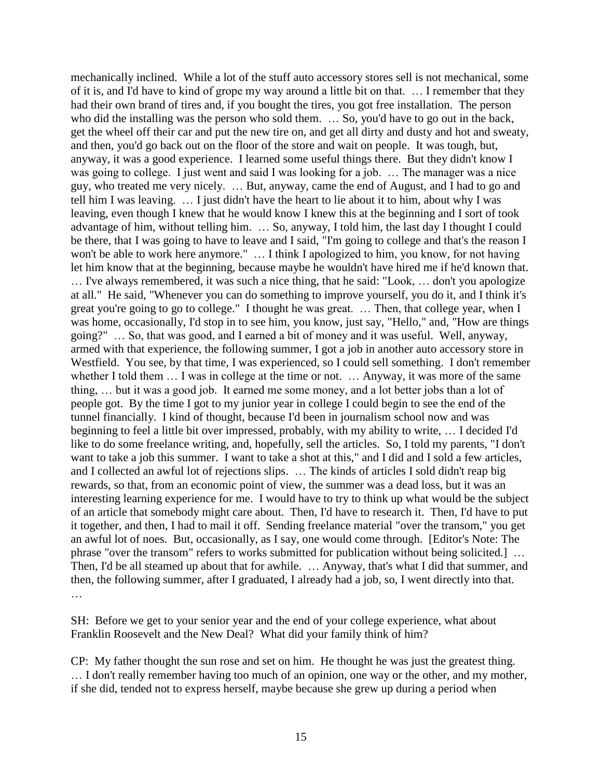mechanically inclined. While a lot of the stuff auto accessory stores sell is not mechanical, some of it is, and I'd have to kind of grope my way around a little bit on that. … I remember that they had their own brand of tires and, if you bought the tires, you got free installation. The person who did the installing was the person who sold them. ... So, you'd have to go out in the back, get the wheel off their car and put the new tire on, and get all dirty and dusty and hot and sweaty, and then, you'd go back out on the floor of the store and wait on people. It was tough, but, anyway, it was a good experience. I learned some useful things there. But they didn't know I was going to college. I just went and said I was looking for a job. … The manager was a nice guy, who treated me very nicely. … But, anyway, came the end of August, and I had to go and tell him I was leaving. … I just didn't have the heart to lie about it to him, about why I was leaving, even though I knew that he would know I knew this at the beginning and I sort of took advantage of him, without telling him. … So, anyway, I told him, the last day I thought I could be there, that I was going to have to leave and I said, "I'm going to college and that's the reason I won't be able to work here anymore." … I think I apologized to him, you know, for not having let him know that at the beginning, because maybe he wouldn't have hired me if he'd known that. … I've always remembered, it was such a nice thing, that he said: "Look, … don't you apologize at all." He said, "Whenever you can do something to improve yourself, you do it, and I think it's great you're going to go to college." I thought he was great. … Then, that college year, when I was home, occasionally, I'd stop in to see him, you know, just say, "Hello," and, "How are things going?" … So, that was good, and I earned a bit of money and it was useful. Well, anyway, armed with that experience, the following summer, I got a job in another auto accessory store in Westfield. You see, by that time, I was experienced, so I could sell something. I don't remember whether I told them … I was in college at the time or not. … Anyway, it was more of the same thing, … but it was a good job. It earned me some money, and a lot better jobs than a lot of people got. By the time I got to my junior year in college I could begin to see the end of the tunnel financially. I kind of thought, because I'd been in journalism school now and was beginning to feel a little bit over impressed, probably, with my ability to write, … I decided I'd like to do some freelance writing, and, hopefully, sell the articles. So, I told my parents, "I don't want to take a job this summer. I want to take a shot at this," and I did and I sold a few articles, and I collected an awful lot of rejections slips. … The kinds of articles I sold didn't reap big rewards, so that, from an economic point of view, the summer was a dead loss, but it was an interesting learning experience for me. I would have to try to think up what would be the subject of an article that somebody might care about. Then, I'd have to research it. Then, I'd have to put it together, and then, I had to mail it off. Sending freelance material "over the transom," you get an awful lot of noes. But, occasionally, as I say, one would come through. [Editor's Note: The phrase "over the transom" refers to works submitted for publication without being solicited.] … Then, I'd be all steamed up about that for awhile. … Anyway, that's what I did that summer, and then, the following summer, after I graduated, I already had a job, so, I went directly into that. …

SH: Before we get to your senior year and the end of your college experience, what about Franklin Roosevelt and the New Deal? What did your family think of him?

CP: My father thought the sun rose and set on him. He thought he was just the greatest thing. … I don't really remember having too much of an opinion, one way or the other, and my mother, if she did, tended not to express herself, maybe because she grew up during a period when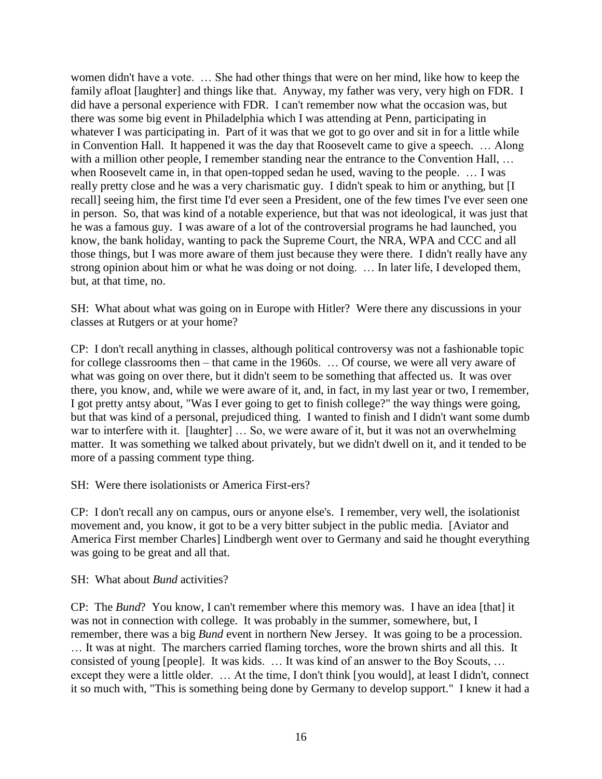women didn't have a vote. … She had other things that were on her mind, like how to keep the family afloat [laughter] and things like that. Anyway, my father was very, very high on FDR. I did have a personal experience with FDR. I can't remember now what the occasion was, but there was some big event in Philadelphia which I was attending at Penn, participating in whatever I was participating in. Part of it was that we got to go over and sit in for a little while in Convention Hall. It happened it was the day that Roosevelt came to give a speech. … Along with a million other people, I remember standing near the entrance to the Convention Hall, ... when Roosevelt came in, in that open-topped sedan he used, waving to the people. … I was really pretty close and he was a very charismatic guy. I didn't speak to him or anything, but [I recall] seeing him, the first time I'd ever seen a President, one of the few times I've ever seen one in person. So, that was kind of a notable experience, but that was not ideological, it was just that he was a famous guy. I was aware of a lot of the controversial programs he had launched, you know, the bank holiday, wanting to pack the Supreme Court, the NRA, WPA and CCC and all those things, but I was more aware of them just because they were there. I didn't really have any strong opinion about him or what he was doing or not doing. … In later life, I developed them, but, at that time, no.

SH: What about what was going on in Europe with Hitler? Were there any discussions in your classes at Rutgers or at your home?

CP: I don't recall anything in classes, although political controversy was not a fashionable topic for college classrooms then – that came in the 1960s. … Of course, we were all very aware of what was going on over there, but it didn't seem to be something that affected us. It was over there, you know, and, while we were aware of it, and, in fact, in my last year or two, I remember, I got pretty antsy about, "Was I ever going to get to finish college?" the way things were going, but that was kind of a personal, prejudiced thing. I wanted to finish and I didn't want some dumb war to interfere with it. [laughter] ... So, we were aware of it, but it was not an overwhelming matter. It was something we talked about privately, but we didn't dwell on it, and it tended to be more of a passing comment type thing.

SH: Were there isolationists or America First-ers?

CP: I don't recall any on campus, ours or anyone else's. I remember, very well, the isolationist movement and, you know, it got to be a very bitter subject in the public media. [Aviator and America First member Charles] Lindbergh went over to Germany and said he thought everything was going to be great and all that.

SH: What about *Bund* activities?

CP: The *Bund*? You know, I can't remember where this memory was. I have an idea [that] it was not in connection with college. It was probably in the summer, somewhere, but, I remember, there was a big *Bund* event in northern New Jersey. It was going to be a procession. … It was at night. The marchers carried flaming torches, wore the brown shirts and all this. It consisted of young [people]. It was kids. … It was kind of an answer to the Boy Scouts, … except they were a little older. … At the time, I don't think [you would], at least I didn't, connect it so much with, "This is something being done by Germany to develop support." I knew it had a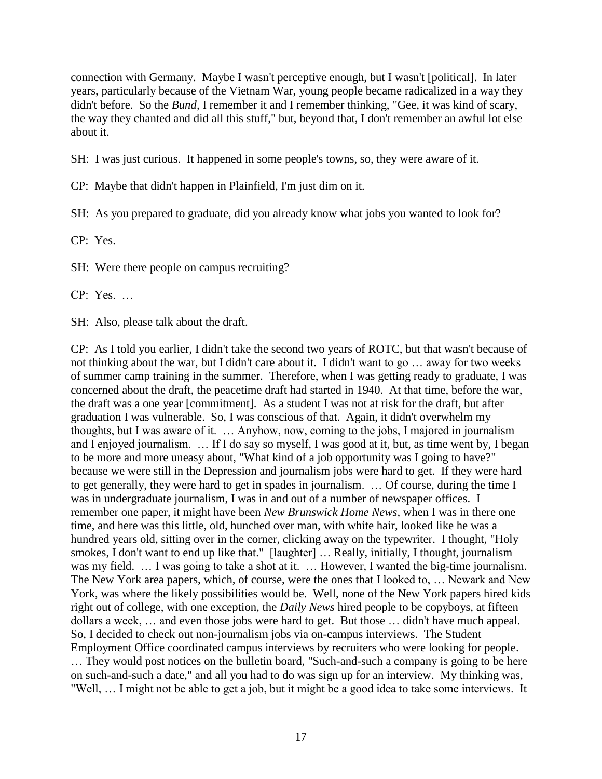connection with Germany. Maybe I wasn't perceptive enough, but I wasn't [political]. In later years, particularly because of the Vietnam War, young people became radicalized in a way they didn't before. So the *Bund,* I remember it and I remember thinking, "Gee, it was kind of scary, the way they chanted and did all this stuff," but, beyond that, I don't remember an awful lot else about it.

SH: I was just curious. It happened in some people's towns, so, they were aware of it.

CP: Maybe that didn't happen in Plainfield, I'm just dim on it.

SH: As you prepared to graduate, did you already know what jobs you wanted to look for?

CP: Yes.

SH: Were there people on campus recruiting?

CP: Yes. …

SH: Also, please talk about the draft.

CP: As I told you earlier, I didn't take the second two years of ROTC, but that wasn't because of not thinking about the war, but I didn't care about it. I didn't want to go … away for two weeks of summer camp training in the summer. Therefore, when I was getting ready to graduate, I was concerned about the draft, the peacetime draft had started in 1940. At that time, before the war, the draft was a one year [commitment]. As a student I was not at risk for the draft, but after graduation I was vulnerable. So, I was conscious of that. Again, it didn't overwhelm my thoughts, but I was aware of it. … Anyhow, now, coming to the jobs, I majored in journalism and I enjoyed journalism. … If I do say so myself, I was good at it, but, as time went by, I began to be more and more uneasy about, "What kind of a job opportunity was I going to have?" because we were still in the Depression and journalism jobs were hard to get. If they were hard to get generally, they were hard to get in spades in journalism. … Of course, during the time I was in undergraduate journalism, I was in and out of a number of newspaper offices. I remember one paper, it might have been *New Brunswick Home News,* when I was in there one time, and here was this little, old, hunched over man, with white hair, looked like he was a hundred years old, sitting over in the corner, clicking away on the typewriter. I thought, "Holy smokes, I don't want to end up like that." [laughter] ... Really, initially, I thought, journalism was my field. ... I was going to take a shot at it. ... However, I wanted the big-time journalism. The New York area papers, which, of course, were the ones that I looked to, … Newark and New York, was where the likely possibilities would be. Well, none of the New York papers hired kids right out of college, with one exception, the *Daily News* hired people to be copyboys, at fifteen dollars a week, … and even those jobs were hard to get. But those … didn't have much appeal. So, I decided to check out non-journalism jobs via on-campus interviews. The Student Employment Office coordinated campus interviews by recruiters who were looking for people. … They would post notices on the bulletin board, "Such-and-such a company is going to be here on such-and-such a date," and all you had to do was sign up for an interview. My thinking was, "Well, … I might not be able to get a job, but it might be a good idea to take some interviews. It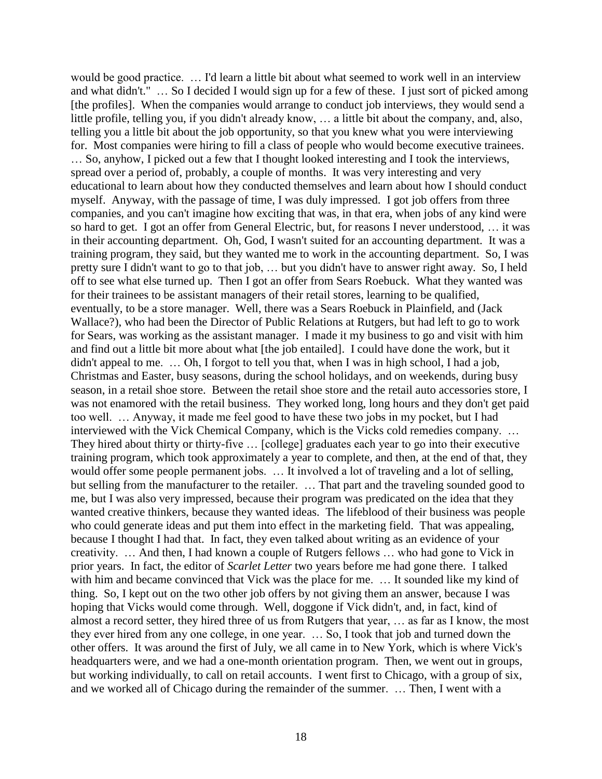would be good practice. … I'd learn a little bit about what seemed to work well in an interview and what didn't." … So I decided I would sign up for a few of these. I just sort of picked among [the profiles]. When the companies would arrange to conduct job interviews, they would send a little profile, telling you, if you didn't already know, … a little bit about the company, and, also, telling you a little bit about the job opportunity, so that you knew what you were interviewing for. Most companies were hiring to fill a class of people who would become executive trainees.

… So, anyhow, I picked out a few that I thought looked interesting and I took the interviews, spread over a period of, probably, a couple of months. It was very interesting and very educational to learn about how they conducted themselves and learn about how I should conduct myself. Anyway, with the passage of time, I was duly impressed. I got job offers from three companies, and you can't imagine how exciting that was, in that era, when jobs of any kind were so hard to get. I got an offer from General Electric, but, for reasons I never understood, … it was in their accounting department. Oh, God, I wasn't suited for an accounting department. It was a training program, they said, but they wanted me to work in the accounting department. So, I was pretty sure I didn't want to go to that job, … but you didn't have to answer right away. So, I held off to see what else turned up. Then I got an offer from Sears Roebuck. What they wanted was for their trainees to be assistant managers of their retail stores, learning to be qualified, eventually, to be a store manager. Well, there was a Sears Roebuck in Plainfield, and (Jack Wallace?), who had been the Director of Public Relations at Rutgers, but had left to go to work for Sears, was working as the assistant manager. I made it my business to go and visit with him and find out a little bit more about what [the job entailed]. I could have done the work, but it didn't appeal to me. … Oh, I forgot to tell you that, when I was in high school, I had a job, Christmas and Easter, busy seasons, during the school holidays, and on weekends, during busy season, in a retail shoe store. Between the retail shoe store and the retail auto accessories store, I was not enamored with the retail business. They worked long, long hours and they don't get paid too well. … Anyway, it made me feel good to have these two jobs in my pocket, but I had interviewed with the Vick Chemical Company, which is the Vicks cold remedies company. … They hired about thirty or thirty-five … [college] graduates each year to go into their executive training program, which took approximately a year to complete, and then, at the end of that, they would offer some people permanent jobs. ... It involved a lot of traveling and a lot of selling, but selling from the manufacturer to the retailer. … That part and the traveling sounded good to me, but I was also very impressed, because their program was predicated on the idea that they wanted creative thinkers, because they wanted ideas. The lifeblood of their business was people who could generate ideas and put them into effect in the marketing field. That was appealing, because I thought I had that. In fact, they even talked about writing as an evidence of your creativity. … And then, I had known a couple of Rutgers fellows … who had gone to Vick in prior years. In fact, the editor of *Scarlet Letter* two years before me had gone there. I talked with him and became convinced that Vick was the place for me. ... It sounded like my kind of thing. So, I kept out on the two other job offers by not giving them an answer, because I was hoping that Vicks would come through. Well, doggone if Vick didn't, and, in fact, kind of almost a record setter, they hired three of us from Rutgers that year, … as far as I know, the most they ever hired from any one college, in one year. … So, I took that job and turned down the other offers. It was around the first of July, we all came in to New York, which is where Vick's headquarters were, and we had a one-month orientation program. Then, we went out in groups, but working individually, to call on retail accounts. I went first to Chicago, with a group of six, and we worked all of Chicago during the remainder of the summer. … Then, I went with a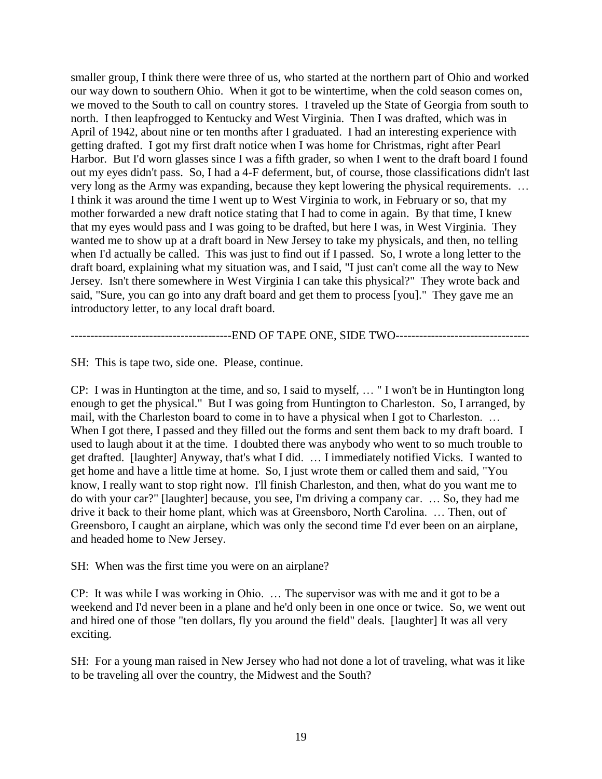smaller group, I think there were three of us, who started at the northern part of Ohio and worked our way down to southern Ohio. When it got to be wintertime, when the cold season comes on, we moved to the South to call on country stores. I traveled up the State of Georgia from south to north. I then leapfrogged to Kentucky and West Virginia. Then I was drafted, which was in April of 1942, about nine or ten months after I graduated. I had an interesting experience with getting drafted. I got my first draft notice when I was home for Christmas, right after Pearl Harbor. But I'd worn glasses since I was a fifth grader, so when I went to the draft board I found out my eyes didn't pass. So, I had a 4-F deferment, but, of course, those classifications didn't last very long as the Army was expanding, because they kept lowering the physical requirements. … I think it was around the time I went up to West Virginia to work, in February or so, that my mother forwarded a new draft notice stating that I had to come in again. By that time, I knew that my eyes would pass and I was going to be drafted, but here I was, in West Virginia. They wanted me to show up at a draft board in New Jersey to take my physicals, and then, no telling when I'd actually be called. This was just to find out if I passed. So, I wrote a long letter to the draft board, explaining what my situation was, and I said, "I just can't come all the way to New Jersey. Isn't there somewhere in West Virginia I can take this physical?" They wrote back and said, "Sure, you can go into any draft board and get them to process [you]." They gave me an introductory letter, to any local draft board.

-------------------------END OF TAPE ONE, SIDE TWO-------------------------------

SH: This is tape two, side one. Please, continue.

CP: I was in Huntington at the time, and so, I said to myself, … " I won't be in Huntington long enough to get the physical." But I was going from Huntington to Charleston. So, I arranged, by mail, with the Charleston board to come in to have a physical when I got to Charleston. … When I got there, I passed and they filled out the forms and sent them back to my draft board. I used to laugh about it at the time. I doubted there was anybody who went to so much trouble to get drafted. [laughter] Anyway, that's what I did. … I immediately notified Vicks. I wanted to get home and have a little time at home. So, I just wrote them or called them and said, "You know, I really want to stop right now. I'll finish Charleston, and then, what do you want me to do with your car?" [laughter] because, you see, I'm driving a company car. … So, they had me drive it back to their home plant, which was at Greensboro, North Carolina. … Then, out of Greensboro, I caught an airplane, which was only the second time I'd ever been on an airplane, and headed home to New Jersey.

SH: When was the first time you were on an airplane?

CP: It was while I was working in Ohio. … The supervisor was with me and it got to be a weekend and I'd never been in a plane and he'd only been in one once or twice. So, we went out and hired one of those "ten dollars, fly you around the field" deals. [laughter] It was all very exciting.

SH: For a young man raised in New Jersey who had not done a lot of traveling, what was it like to be traveling all over the country, the Midwest and the South?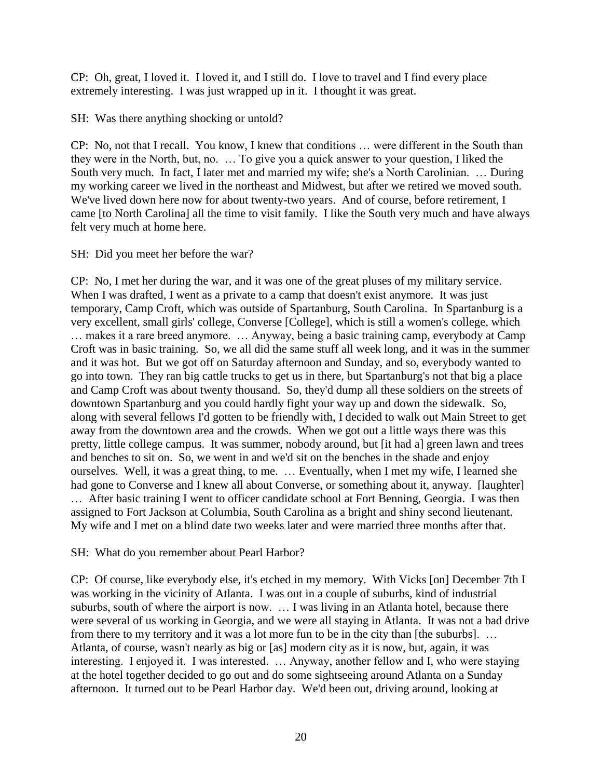CP: Oh, great, I loved it. I loved it, and I still do. I love to travel and I find every place extremely interesting. I was just wrapped up in it. I thought it was great.

SH: Was there anything shocking or untold?

CP: No, not that I recall. You know, I knew that conditions … were different in the South than they were in the North, but, no. … To give you a quick answer to your question, I liked the South very much. In fact, I later met and married my wife; she's a North Carolinian. … During my working career we lived in the northeast and Midwest, but after we retired we moved south. We've lived down here now for about twenty-two years. And of course, before retirement, I came [to North Carolina] all the time to visit family. I like the South very much and have always felt very much at home here.

SH: Did you meet her before the war?

CP: No, I met her during the war, and it was one of the great pluses of my military service. When I was drafted, I went as a private to a camp that doesn't exist anymore. It was just temporary, Camp Croft, which was outside of Spartanburg, South Carolina. In Spartanburg is a very excellent, small girls' college, Converse [College], which is still a women's college, which … makes it a rare breed anymore. … Anyway, being a basic training camp, everybody at Camp Croft was in basic training. So, we all did the same stuff all week long, and it was in the summer and it was hot. But we got off on Saturday afternoon and Sunday, and so, everybody wanted to go into town. They ran big cattle trucks to get us in there, but Spartanburg's not that big a place and Camp Croft was about twenty thousand. So, they'd dump all these soldiers on the streets of downtown Spartanburg and you could hardly fight your way up and down the sidewalk. So, along with several fellows I'd gotten to be friendly with, I decided to walk out Main Street to get away from the downtown area and the crowds. When we got out a little ways there was this pretty, little college campus. It was summer, nobody around, but [it had a] green lawn and trees and benches to sit on. So, we went in and we'd sit on the benches in the shade and enjoy ourselves. Well, it was a great thing, to me. … Eventually, when I met my wife, I learned she had gone to Converse and I knew all about Converse, or something about it, anyway. [laughter] … After basic training I went to officer candidate school at Fort Benning, Georgia. I was then assigned to Fort Jackson at Columbia, South Carolina as a bright and shiny second lieutenant. My wife and I met on a blind date two weeks later and were married three months after that.

SH: What do you remember about Pearl Harbor?

CP: Of course, like everybody else, it's etched in my memory. With Vicks [on] December 7th I was working in the vicinity of Atlanta. I was out in a couple of suburbs, kind of industrial suburbs, south of where the airport is now. … I was living in an Atlanta hotel, because there were several of us working in Georgia, and we were all staying in Atlanta. It was not a bad drive from there to my territory and it was a lot more fun to be in the city than [the suburbs]. … Atlanta, of course, wasn't nearly as big or [as] modern city as it is now, but, again, it was interesting. I enjoyed it. I was interested. … Anyway, another fellow and I, who were staying at the hotel together decided to go out and do some sightseeing around Atlanta on a Sunday afternoon. It turned out to be Pearl Harbor day. We'd been out, driving around, looking at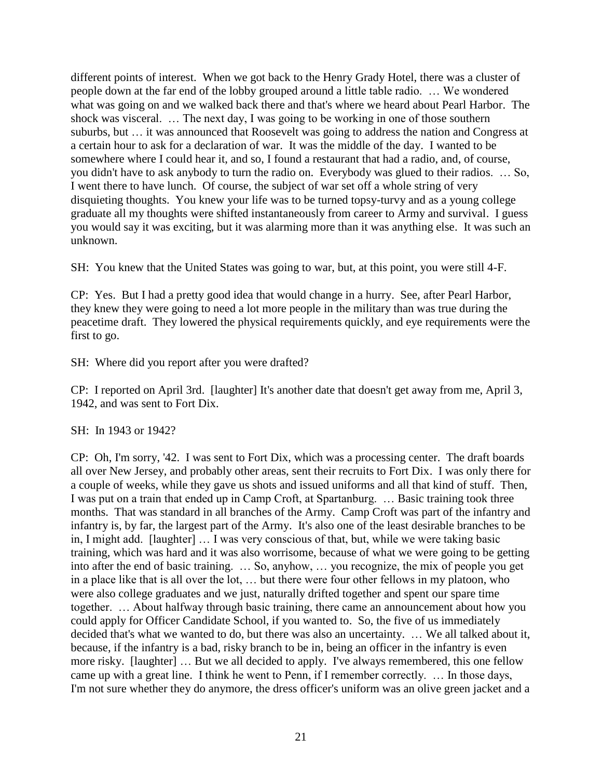different points of interest. When we got back to the Henry Grady Hotel, there was a cluster of people down at the far end of the lobby grouped around a little table radio. … We wondered what was going on and we walked back there and that's where we heard about Pearl Harbor. The shock was visceral. … The next day, I was going to be working in one of those southern suburbs, but … it was announced that Roosevelt was going to address the nation and Congress at a certain hour to ask for a declaration of war. It was the middle of the day. I wanted to be somewhere where I could hear it, and so, I found a restaurant that had a radio, and, of course, you didn't have to ask anybody to turn the radio on. Everybody was glued to their radios. … So, I went there to have lunch. Of course, the subject of war set off a whole string of very disquieting thoughts. You knew your life was to be turned topsy-turvy and as a young college graduate all my thoughts were shifted instantaneously from career to Army and survival. I guess you would say it was exciting, but it was alarming more than it was anything else. It was such an unknown.

SH: You knew that the United States was going to war, but, at this point, you were still 4-F.

CP: Yes. But I had a pretty good idea that would change in a hurry. See, after Pearl Harbor, they knew they were going to need a lot more people in the military than was true during the peacetime draft. They lowered the physical requirements quickly, and eye requirements were the first to go.

SH: Where did you report after you were drafted?

CP: I reported on April 3rd. [laughter] It's another date that doesn't get away from me, April 3, 1942, and was sent to Fort Dix.

SH: In 1943 or 1942?

CP: Oh, I'm sorry, '42. I was sent to Fort Dix, which was a processing center. The draft boards all over New Jersey, and probably other areas, sent their recruits to Fort Dix. I was only there for a couple of weeks, while they gave us shots and issued uniforms and all that kind of stuff. Then, I was put on a train that ended up in Camp Croft, at Spartanburg. … Basic training took three months. That was standard in all branches of the Army. Camp Croft was part of the infantry and infantry is, by far, the largest part of the Army. It's also one of the least desirable branches to be in, I might add. [laughter] … I was very conscious of that, but, while we were taking basic training, which was hard and it was also worrisome, because of what we were going to be getting into after the end of basic training. … So, anyhow, … you recognize, the mix of people you get in a place like that is all over the lot, … but there were four other fellows in my platoon, who were also college graduates and we just, naturally drifted together and spent our spare time together. … About halfway through basic training, there came an announcement about how you could apply for Officer Candidate School, if you wanted to. So, the five of us immediately decided that's what we wanted to do, but there was also an uncertainty. … We all talked about it, because, if the infantry is a bad, risky branch to be in, being an officer in the infantry is even more risky. [laughter] … But we all decided to apply. I've always remembered, this one fellow came up with a great line. I think he went to Penn, if I remember correctly. … In those days, I'm not sure whether they do anymore, the dress officer's uniform was an olive green jacket and a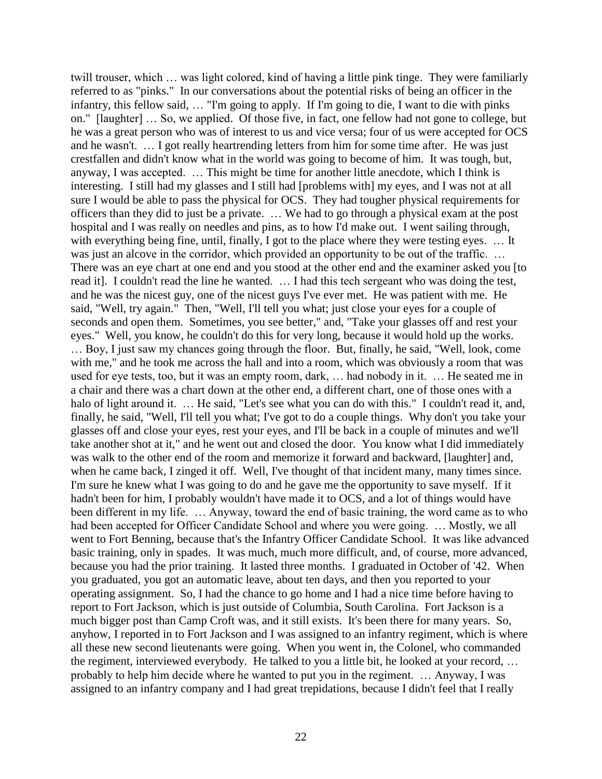twill trouser, which … was light colored, kind of having a little pink tinge. They were familiarly referred to as "pinks." In our conversations about the potential risks of being an officer in the infantry, this fellow said, … "I'm going to apply. If I'm going to die, I want to die with pinks on." [laughter] … So, we applied. Of those five, in fact, one fellow had not gone to college, but he was a great person who was of interest to us and vice versa; four of us were accepted for OCS and he wasn't. … I got really heartrending letters from him for some time after. He was just crestfallen and didn't know what in the world was going to become of him. It was tough, but, anyway, I was accepted. … This might be time for another little anecdote, which I think is interesting. I still had my glasses and I still had [problems with] my eyes, and I was not at all sure I would be able to pass the physical for OCS. They had tougher physical requirements for officers than they did to just be a private. … We had to go through a physical exam at the post hospital and I was really on needles and pins, as to how I'd make out. I went sailing through, with everything being fine, until, finally, I got to the place where they were testing eyes. ... It was just an alcove in the corridor, which provided an opportunity to be out of the traffic. ... There was an eye chart at one end and you stood at the other end and the examiner asked you [to read it]. I couldn't read the line he wanted. … I had this tech sergeant who was doing the test, and he was the nicest guy, one of the nicest guys I've ever met. He was patient with me. He said, "Well, try again." Then, "Well, I'll tell you what; just close your eyes for a couple of seconds and open them. Sometimes, you see better," and, "Take your glasses off and rest your eyes." Well, you know, he couldn't do this for very long, because it would hold up the works. … Boy, I just saw my chances going through the floor. But, finally, he said, "Well, look, come with me," and he took me across the hall and into a room, which was obviously a room that was used for eye tests, too, but it was an empty room, dark, … had nobody in it. … He seated me in a chair and there was a chart down at the other end, a different chart, one of those ones with a halo of light around it. ... He said, "Let's see what you can do with this." I couldn't read it, and, finally, he said, "Well, I'll tell you what; I've got to do a couple things. Why don't you take your glasses off and close your eyes, rest your eyes, and I'll be back in a couple of minutes and we'll take another shot at it," and he went out and closed the door. You know what I did immediately was walk to the other end of the room and memorize it forward and backward, [laughter] and, when he came back, I zinged it off. Well, I've thought of that incident many, many times since. I'm sure he knew what I was going to do and he gave me the opportunity to save myself. If it hadn't been for him, I probably wouldn't have made it to OCS, and a lot of things would have been different in my life. … Anyway, toward the end of basic training, the word came as to who had been accepted for Officer Candidate School and where you were going. ... Mostly, we all went to Fort Benning, because that's the Infantry Officer Candidate School. It was like advanced basic training, only in spades. It was much, much more difficult, and, of course, more advanced, because you had the prior training. It lasted three months. I graduated in October of '42. When you graduated, you got an automatic leave, about ten days, and then you reported to your operating assignment. So, I had the chance to go home and I had a nice time before having to report to Fort Jackson, which is just outside of Columbia, South Carolina. Fort Jackson is a much bigger post than Camp Croft was, and it still exists. It's been there for many years. So, anyhow, I reported in to Fort Jackson and I was assigned to an infantry regiment, which is where all these new second lieutenants were going. When you went in, the Colonel, who commanded the regiment, interviewed everybody. He talked to you a little bit, he looked at your record, … probably to help him decide where he wanted to put you in the regiment. … Anyway, I was assigned to an infantry company and I had great trepidations, because I didn't feel that I really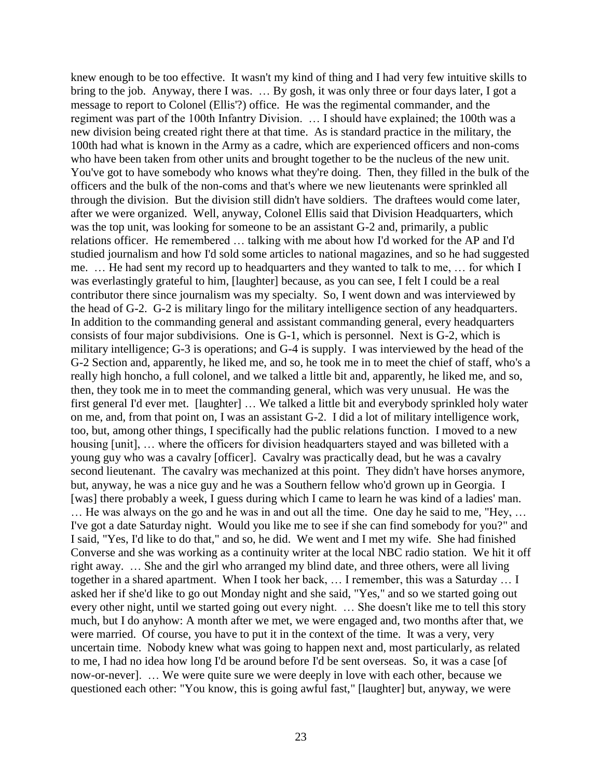knew enough to be too effective. It wasn't my kind of thing and I had very few intuitive skills to bring to the job. Anyway, there I was. … By gosh, it was only three or four days later, I got a message to report to Colonel (Ellis'?) office. He was the regimental commander, and the regiment was part of the 100th Infantry Division. … I should have explained; the 100th was a new division being created right there at that time. As is standard practice in the military, the 100th had what is known in the Army as a cadre, which are experienced officers and non-coms who have been taken from other units and brought together to be the nucleus of the new unit. You've got to have somebody who knows what they're doing. Then, they filled in the bulk of the officers and the bulk of the non-coms and that's where we new lieutenants were sprinkled all through the division. But the division still didn't have soldiers. The draftees would come later, after we were organized. Well, anyway, Colonel Ellis said that Division Headquarters, which was the top unit, was looking for someone to be an assistant G-2 and, primarily, a public relations officer. He remembered … talking with me about how I'd worked for the AP and I'd studied journalism and how I'd sold some articles to national magazines, and so he had suggested me. … He had sent my record up to headquarters and they wanted to talk to me, … for which I was everlastingly grateful to him, [laughter] because, as you can see, I felt I could be a real contributor there since journalism was my specialty. So, I went down and was interviewed by the head of G-2. G-2 is military lingo for the military intelligence section of any headquarters. In addition to the commanding general and assistant commanding general, every headquarters consists of four major subdivisions. One is G-1, which is personnel. Next is G-2, which is military intelligence; G-3 is operations; and G-4 is supply. I was interviewed by the head of the G-2 Section and, apparently, he liked me, and so, he took me in to meet the chief of staff, who's a really high honcho, a full colonel, and we talked a little bit and, apparently, he liked me, and so, then, they took me in to meet the commanding general, which was very unusual. He was the first general I'd ever met. [laughter] … We talked a little bit and everybody sprinkled holy water on me, and, from that point on, I was an assistant G-2. I did a lot of military intelligence work, too, but, among other things, I specifically had the public relations function. I moved to a new housing [unit], ... where the officers for division headquarters stayed and was billeted with a young guy who was a cavalry [officer]. Cavalry was practically dead, but he was a cavalry second lieutenant. The cavalry was mechanized at this point. They didn't have horses anymore, but, anyway, he was a nice guy and he was a Southern fellow who'd grown up in Georgia. I [was] there probably a week, I guess during which I came to learn he was kind of a ladies' man. … He was always on the go and he was in and out all the time. One day he said to me, "Hey, … I've got a date Saturday night. Would you like me to see if she can find somebody for you?" and I said, "Yes, I'd like to do that," and so, he did. We went and I met my wife. She had finished Converse and she was working as a continuity writer at the local NBC radio station. We hit it off right away. … She and the girl who arranged my blind date, and three others, were all living together in a shared apartment. When I took her back, … I remember, this was a Saturday … I asked her if she'd like to go out Monday night and she said, "Yes," and so we started going out every other night, until we started going out every night. … She doesn't like me to tell this story much, but I do anyhow: A month after we met, we were engaged and, two months after that, we were married. Of course, you have to put it in the context of the time. It was a very, very uncertain time. Nobody knew what was going to happen next and, most particularly, as related to me, I had no idea how long I'd be around before I'd be sent overseas. So, it was a case [of now-or-never]. … We were quite sure we were deeply in love with each other, because we questioned each other: "You know, this is going awful fast," [laughter] but, anyway, we were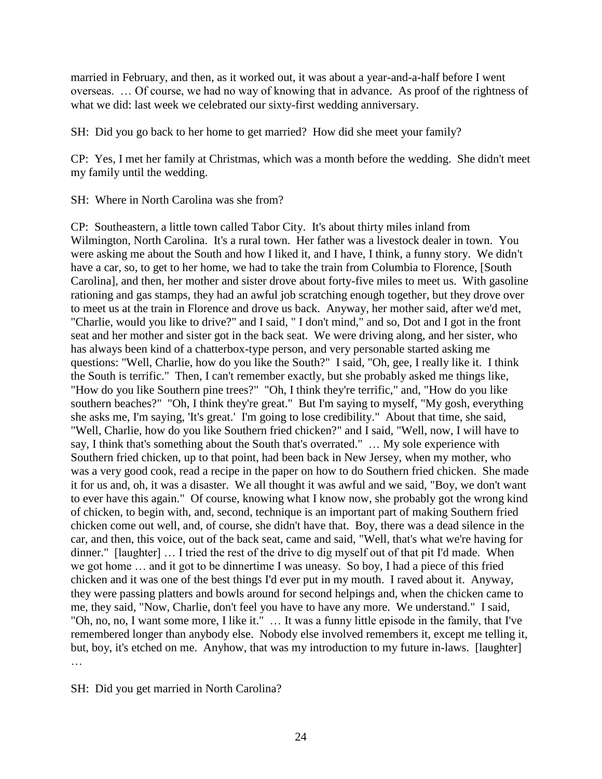married in February, and then, as it worked out, it was about a year-and-a-half before I went overseas. … Of course, we had no way of knowing that in advance. As proof of the rightness of what we did: last week we celebrated our sixty-first wedding anniversary.

SH: Did you go back to her home to get married? How did she meet your family?

CP: Yes, I met her family at Christmas, which was a month before the wedding. She didn't meet my family until the wedding.

SH: Where in North Carolina was she from?

CP: Southeastern, a little town called Tabor City. It's about thirty miles inland from Wilmington, North Carolina. It's a rural town. Her father was a livestock dealer in town. You were asking me about the South and how I liked it, and I have, I think, a funny story. We didn't have a car, so, to get to her home, we had to take the train from Columbia to Florence, [South Carolina], and then, her mother and sister drove about forty-five miles to meet us. With gasoline rationing and gas stamps, they had an awful job scratching enough together, but they drove over to meet us at the train in Florence and drove us back. Anyway, her mother said, after we'd met, "Charlie, would you like to drive?" and I said, " I don't mind," and so, Dot and I got in the front seat and her mother and sister got in the back seat. We were driving along, and her sister, who has always been kind of a chatterbox-type person, and very personable started asking me questions: "Well, Charlie, how do you like the South?" I said, "Oh, gee, I really like it. I think the South is terrific." Then, I can't remember exactly, but she probably asked me things like, "How do you like Southern pine trees?" "Oh, I think they're terrific," and, "How do you like southern beaches?" "Oh, I think they're great." But I'm saying to myself, "My gosh, everything she asks me, I'm saying, 'It's great.' I'm going to lose credibility." About that time, she said, "Well, Charlie, how do you like Southern fried chicken?" and I said, "Well, now, I will have to say, I think that's something about the South that's overrated." … My sole experience with Southern fried chicken, up to that point, had been back in New Jersey, when my mother, who was a very good cook, read a recipe in the paper on how to do Southern fried chicken. She made it for us and, oh, it was a disaster. We all thought it was awful and we said, "Boy, we don't want to ever have this again." Of course, knowing what I know now, she probably got the wrong kind of chicken, to begin with, and, second, technique is an important part of making Southern fried chicken come out well, and, of course, she didn't have that. Boy, there was a dead silence in the car, and then, this voice, out of the back seat, came and said, "Well, that's what we're having for dinner." [laughter] … I tried the rest of the drive to dig myself out of that pit I'd made. When we got home … and it got to be dinnertime I was uneasy. So boy, I had a piece of this fried chicken and it was one of the best things I'd ever put in my mouth. I raved about it. Anyway, they were passing platters and bowls around for second helpings and, when the chicken came to me, they said, "Now, Charlie, don't feel you have to have any more. We understand." I said, "Oh, no, no, I want some more, I like it." … It was a funny little episode in the family, that I've remembered longer than anybody else. Nobody else involved remembers it, except me telling it, but, boy, it's etched on me. Anyhow, that was my introduction to my future in-laws. [laughter] …

SH: Did you get married in North Carolina?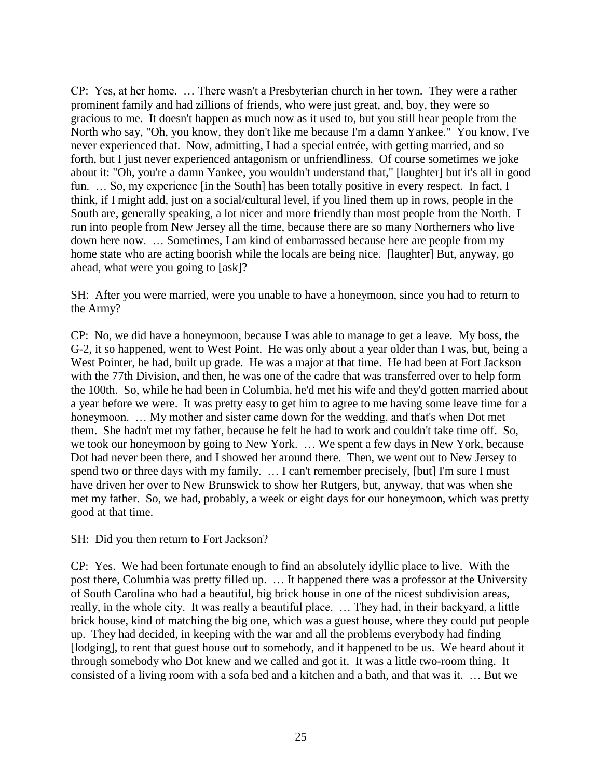CP: Yes, at her home. … There wasn't a Presbyterian church in her town. They were a rather prominent family and had zillions of friends, who were just great, and, boy, they were so gracious to me. It doesn't happen as much now as it used to, but you still hear people from the North who say, "Oh, you know, they don't like me because I'm a damn Yankee." You know, I've never experienced that. Now, admitting, I had a special entrée, with getting married, and so forth, but I just never experienced antagonism or unfriendliness. Of course sometimes we joke about it: "Oh, you're a damn Yankee, you wouldn't understand that," [laughter] but it's all in good fun. ... So, my experience [in the South] has been totally positive in every respect. In fact, I think, if I might add, just on a social/cultural level, if you lined them up in rows, people in the South are, generally speaking, a lot nicer and more friendly than most people from the North. I run into people from New Jersey all the time, because there are so many Northerners who live down here now. … Sometimes, I am kind of embarrassed because here are people from my home state who are acting boorish while the locals are being nice. [laughter] But, anyway, go ahead, what were you going to [ask]?

SH: After you were married, were you unable to have a honeymoon, since you had to return to the Army?

CP: No, we did have a honeymoon, because I was able to manage to get a leave. My boss, the G-2, it so happened, went to West Point. He was only about a year older than I was, but, being a West Pointer, he had, built up grade. He was a major at that time. He had been at Fort Jackson with the 77th Division, and then, he was one of the cadre that was transferred over to help form the 100th. So, while he had been in Columbia, he'd met his wife and they'd gotten married about a year before we were. It was pretty easy to get him to agree to me having some leave time for a honeymoon. … My mother and sister came down for the wedding, and that's when Dot met them. She hadn't met my father, because he felt he had to work and couldn't take time off. So, we took our honeymoon by going to New York. … We spent a few days in New York, because Dot had never been there, and I showed her around there. Then, we went out to New Jersey to spend two or three days with my family. … I can't remember precisely, [but] I'm sure I must have driven her over to New Brunswick to show her Rutgers, but, anyway, that was when she met my father. So, we had, probably, a week or eight days for our honeymoon, which was pretty good at that time.

SH: Did you then return to Fort Jackson?

CP: Yes. We had been fortunate enough to find an absolutely idyllic place to live. With the post there, Columbia was pretty filled up. … It happened there was a professor at the University of South Carolina who had a beautiful, big brick house in one of the nicest subdivision areas, really, in the whole city. It was really a beautiful place. … They had, in their backyard, a little brick house, kind of matching the big one, which was a guest house, where they could put people up. They had decided, in keeping with the war and all the problems everybody had finding [lodging], to rent that guest house out to somebody, and it happened to be us. We heard about it through somebody who Dot knew and we called and got it. It was a little two-room thing. It consisted of a living room with a sofa bed and a kitchen and a bath, and that was it. … But we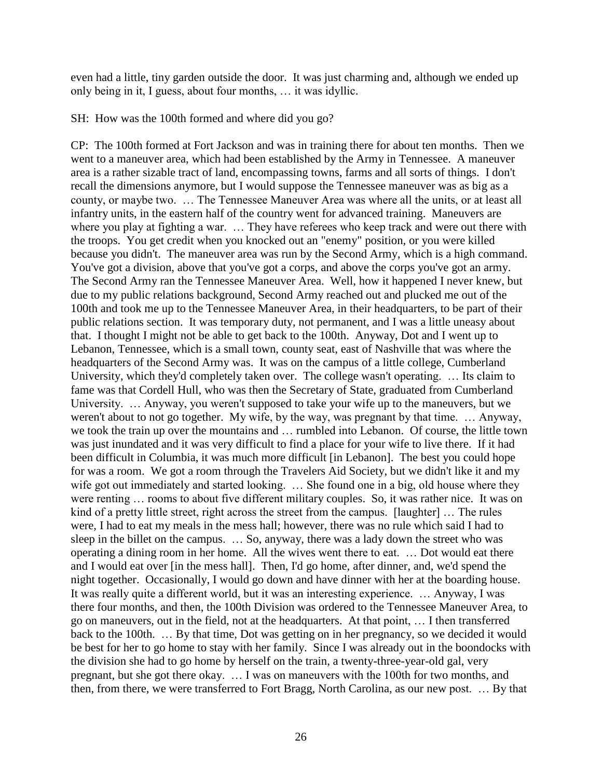even had a little, tiny garden outside the door. It was just charming and, although we ended up only being in it, I guess, about four months, … it was idyllic.

SH: How was the 100th formed and where did you go?

CP: The 100th formed at Fort Jackson and was in training there for about ten months. Then we went to a maneuver area, which had been established by the Army in Tennessee. A maneuver area is a rather sizable tract of land, encompassing towns, farms and all sorts of things. I don't recall the dimensions anymore, but I would suppose the Tennessee maneuver was as big as a county, or maybe two. … The Tennessee Maneuver Area was where all the units, or at least all infantry units, in the eastern half of the country went for advanced training. Maneuvers are where you play at fighting a war. … They have referees who keep track and were out there with the troops. You get credit when you knocked out an "enemy" position, or you were killed because you didn't. The maneuver area was run by the Second Army, which is a high command. You've got a division, above that you've got a corps, and above the corps you've got an army. The Second Army ran the Tennessee Maneuver Area. Well, how it happened I never knew, but due to my public relations background, Second Army reached out and plucked me out of the 100th and took me up to the Tennessee Maneuver Area, in their headquarters, to be part of their public relations section. It was temporary duty, not permanent, and I was a little uneasy about that. I thought I might not be able to get back to the 100th. Anyway, Dot and I went up to Lebanon, Tennessee, which is a small town, county seat, east of Nashville that was where the headquarters of the Second Army was. It was on the campus of a little college, Cumberland University, which they'd completely taken over. The college wasn't operating. … Its claim to fame was that Cordell Hull, who was then the Secretary of State, graduated from Cumberland University. … Anyway, you weren't supposed to take your wife up to the maneuvers, but we weren't about to not go together. My wife, by the way, was pregnant by that time. … Anyway, we took the train up over the mountains and … rumbled into Lebanon. Of course, the little town was just inundated and it was very difficult to find a place for your wife to live there. If it had been difficult in Columbia, it was much more difficult [in Lebanon]. The best you could hope for was a room. We got a room through the Travelers Aid Society, but we didn't like it and my wife got out immediately and started looking. ... She found one in a big, old house where they were renting … rooms to about five different military couples. So, it was rather nice. It was on kind of a pretty little street, right across the street from the campus. [laughter] … The rules were, I had to eat my meals in the mess hall; however, there was no rule which said I had to sleep in the billet on the campus. … So, anyway, there was a lady down the street who was operating a dining room in her home. All the wives went there to eat. … Dot would eat there and I would eat over [in the mess hall]. Then, I'd go home, after dinner, and, we'd spend the night together. Occasionally, I would go down and have dinner with her at the boarding house. It was really quite a different world, but it was an interesting experience. … Anyway, I was there four months, and then, the 100th Division was ordered to the Tennessee Maneuver Area, to go on maneuvers, out in the field, not at the headquarters. At that point, … I then transferred back to the 100th. … By that time, Dot was getting on in her pregnancy, so we decided it would be best for her to go home to stay with her family. Since I was already out in the boondocks with the division she had to go home by herself on the train, a twenty-three-year-old gal, very pregnant, but she got there okay. … I was on maneuvers with the 100th for two months, and then, from there, we were transferred to Fort Bragg, North Carolina, as our new post. … By that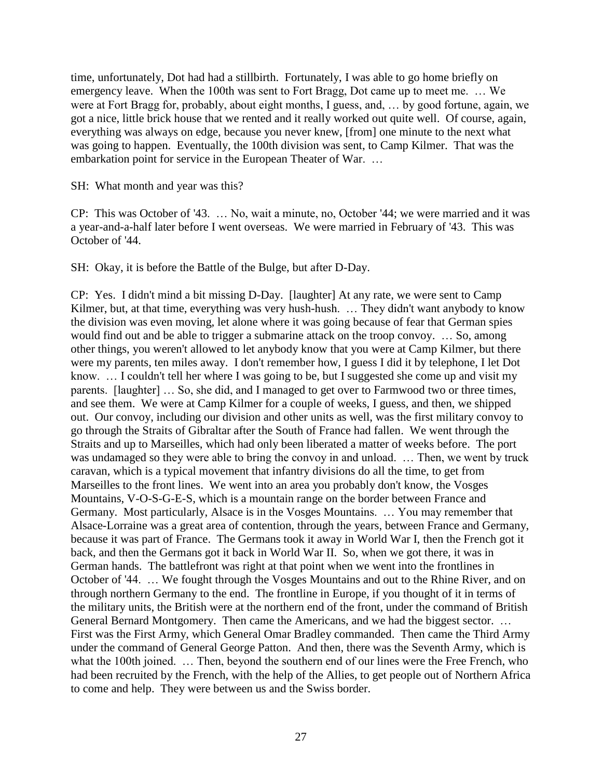time, unfortunately, Dot had had a stillbirth. Fortunately, I was able to go home briefly on emergency leave. When the 100th was sent to Fort Bragg, Dot came up to meet me. … We were at Fort Bragg for, probably, about eight months, I guess, and, … by good fortune, again, we got a nice, little brick house that we rented and it really worked out quite well. Of course, again, everything was always on edge, because you never knew, [from] one minute to the next what was going to happen. Eventually, the 100th division was sent, to Camp Kilmer. That was the embarkation point for service in the European Theater of War. …

SH: What month and year was this?

CP: This was October of '43. … No, wait a minute, no, October '44; we were married and it was a year-and-a-half later before I went overseas. We were married in February of '43. This was October of '44.

SH: Okay, it is before the Battle of the Bulge, but after D-Day.

CP: Yes. I didn't mind a bit missing D-Day. [laughter] At any rate, we were sent to Camp Kilmer, but, at that time, everything was very hush-hush. ... They didn't want anybody to know the division was even moving, let alone where it was going because of fear that German spies would find out and be able to trigger a submarine attack on the troop convoy. … So, among other things, you weren't allowed to let anybody know that you were at Camp Kilmer, but there were my parents, ten miles away. I don't remember how, I guess I did it by telephone, I let Dot know. ... I couldn't tell her where I was going to be, but I suggested she come up and visit my parents. [laughter] … So, she did, and I managed to get over to Farmwood two or three times, and see them. We were at Camp Kilmer for a couple of weeks, I guess, and then, we shipped out. Our convoy, including our division and other units as well, was the first military convoy to go through the Straits of Gibraltar after the South of France had fallen. We went through the Straits and up to Marseilles, which had only been liberated a matter of weeks before. The port was undamaged so they were able to bring the convoy in and unload. … Then, we went by truck caravan, which is a typical movement that infantry divisions do all the time, to get from Marseilles to the front lines. We went into an area you probably don't know, the Vosges Mountains, V-O-S-G-E-S, which is a mountain range on the border between France and Germany. Most particularly, Alsace is in the Vosges Mountains. … You may remember that Alsace-Lorraine was a great area of contention, through the years, between France and Germany, because it was part of France. The Germans took it away in World War I, then the French got it back, and then the Germans got it back in World War II. So, when we got there, it was in German hands. The battlefront was right at that point when we went into the frontlines in October of '44. … We fought through the Vosges Mountains and out to the Rhine River, and on through northern Germany to the end. The frontline in Europe, if you thought of it in terms of the military units, the British were at the northern end of the front, under the command of British General Bernard Montgomery. Then came the Americans, and we had the biggest sector. … First was the First Army, which General Omar Bradley commanded. Then came the Third Army under the command of General George Patton. And then, there was the Seventh Army, which is what the 100th joined. ... Then, beyond the southern end of our lines were the Free French, who had been recruited by the French, with the help of the Allies, to get people out of Northern Africa to come and help. They were between us and the Swiss border.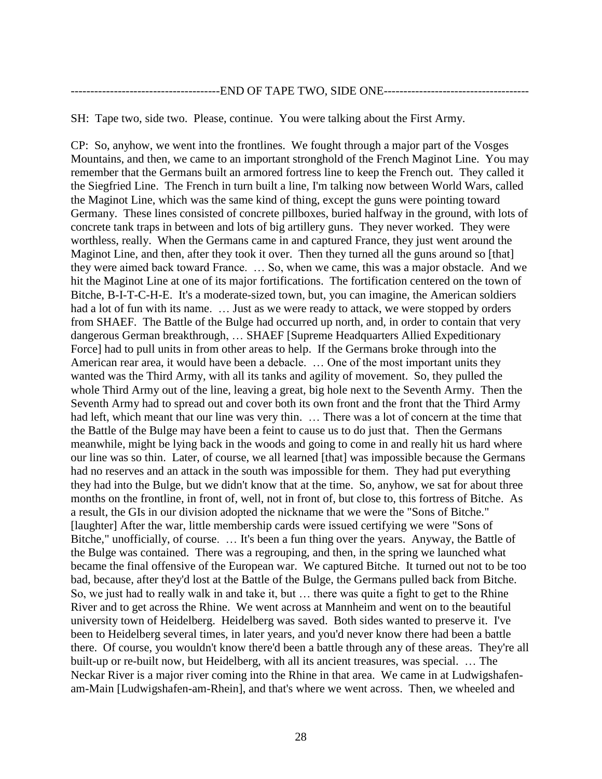#### --END OF TAPE TWO, SIDE ONE------

SH: Tape two, side two. Please, continue. You were talking about the First Army.

CP: So, anyhow, we went into the frontlines. We fought through a major part of the Vosges Mountains, and then, we came to an important stronghold of the French Maginot Line. You may remember that the Germans built an armored fortress line to keep the French out. They called it the Siegfried Line. The French in turn built a line, I'm talking now between World Wars, called the Maginot Line, which was the same kind of thing, except the guns were pointing toward Germany. These lines consisted of concrete pillboxes, buried halfway in the ground, with lots of concrete tank traps in between and lots of big artillery guns. They never worked. They were worthless, really. When the Germans came in and captured France, they just went around the Maginot Line, and then, after they took it over. Then they turned all the guns around so [that] they were aimed back toward France. … So, when we came, this was a major obstacle. And we hit the Maginot Line at one of its major fortifications. The fortification centered on the town of Bitche, B-I-T-C-H-E. It's a moderate-sized town, but, you can imagine, the American soldiers had a lot of fun with its name. ... Just as we were ready to attack, we were stopped by orders from SHAEF. The Battle of the Bulge had occurred up north, and, in order to contain that very dangerous German breakthrough, … SHAEF [Supreme Headquarters Allied Expeditionary Force] had to pull units in from other areas to help. If the Germans broke through into the American rear area, it would have been a debacle. … One of the most important units they wanted was the Third Army, with all its tanks and agility of movement. So, they pulled the whole Third Army out of the line, leaving a great, big hole next to the Seventh Army. Then the Seventh Army had to spread out and cover both its own front and the front that the Third Army had left, which meant that our line was very thin. … There was a lot of concern at the time that the Battle of the Bulge may have been a feint to cause us to do just that. Then the Germans meanwhile, might be lying back in the woods and going to come in and really hit us hard where our line was so thin. Later, of course, we all learned [that] was impossible because the Germans had no reserves and an attack in the south was impossible for them. They had put everything they had into the Bulge, but we didn't know that at the time. So, anyhow, we sat for about three months on the frontline, in front of, well, not in front of, but close to, this fortress of Bitche. As a result, the GIs in our division adopted the nickname that we were the "Sons of Bitche." [laughter] After the war, little membership cards were issued certifying we were "Sons of Bitche," unofficially, of course. … It's been a fun thing over the years. Anyway, the Battle of the Bulge was contained. There was a regrouping, and then, in the spring we launched what became the final offensive of the European war. We captured Bitche. It turned out not to be too bad, because, after they'd lost at the Battle of the Bulge, the Germans pulled back from Bitche. So, we just had to really walk in and take it, but … there was quite a fight to get to the Rhine River and to get across the Rhine. We went across at Mannheim and went on to the beautiful university town of Heidelberg. Heidelberg was saved. Both sides wanted to preserve it. I've been to Heidelberg several times, in later years, and you'd never know there had been a battle there. Of course, you wouldn't know there'd been a battle through any of these areas. They're all built-up or re-built now, but Heidelberg, with all its ancient treasures, was special. … The Neckar River is a major river coming into the Rhine in that area. We came in at Ludwigshafenam-Main [Ludwigshafen-am-Rhein], and that's where we went across. Then, we wheeled and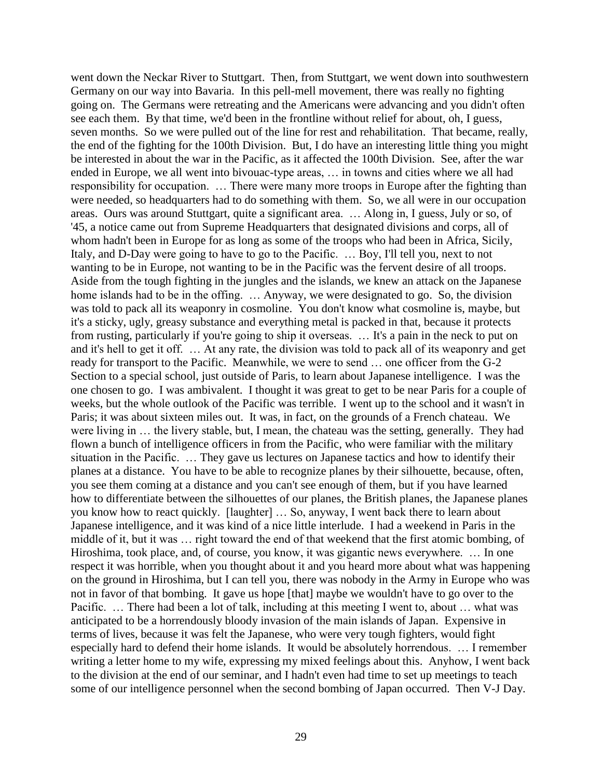went down the Neckar River to Stuttgart. Then, from Stuttgart, we went down into southwestern Germany on our way into Bavaria. In this pell-mell movement, there was really no fighting going on. The Germans were retreating and the Americans were advancing and you didn't often see each them. By that time, we'd been in the frontline without relief for about, oh, I guess, seven months. So we were pulled out of the line for rest and rehabilitation. That became, really, the end of the fighting for the 100th Division. But, I do have an interesting little thing you might be interested in about the war in the Pacific, as it affected the 100th Division. See, after the war ended in Europe, we all went into bivouac-type areas, … in towns and cities where we all had responsibility for occupation. … There were many more troops in Europe after the fighting than were needed, so headquarters had to do something with them. So, we all were in our occupation areas. Ours was around Stuttgart, quite a significant area. … Along in, I guess, July or so, of '45, a notice came out from Supreme Headquarters that designated divisions and corps, all of whom hadn't been in Europe for as long as some of the troops who had been in Africa, Sicily, Italy, and D-Day were going to have to go to the Pacific. … Boy, I'll tell you, next to not wanting to be in Europe, not wanting to be in the Pacific was the fervent desire of all troops. Aside from the tough fighting in the jungles and the islands, we knew an attack on the Japanese home islands had to be in the offing. … Anyway, we were designated to go. So, the division was told to pack all its weaponry in cosmoline. You don't know what cosmoline is, maybe, but it's a sticky, ugly, greasy substance and everything metal is packed in that, because it protects from rusting, particularly if you're going to ship it overseas. … It's a pain in the neck to put on and it's hell to get it off. … At any rate, the division was told to pack all of its weaponry and get ready for transport to the Pacific. Meanwhile, we were to send … one officer from the G-2 Section to a special school, just outside of Paris, to learn about Japanese intelligence. I was the one chosen to go. I was ambivalent. I thought it was great to get to be near Paris for a couple of weeks, but the whole outlook of the Pacific was terrible. I went up to the school and it wasn't in Paris; it was about sixteen miles out. It was, in fact, on the grounds of a French chateau. We were living in … the livery stable, but, I mean, the chateau was the setting, generally. They had flown a bunch of intelligence officers in from the Pacific, who were familiar with the military situation in the Pacific. … They gave us lectures on Japanese tactics and how to identify their planes at a distance. You have to be able to recognize planes by their silhouette, because, often, you see them coming at a distance and you can't see enough of them, but if you have learned how to differentiate between the silhouettes of our planes, the British planes, the Japanese planes you know how to react quickly. [laughter] … So, anyway, I went back there to learn about Japanese intelligence, and it was kind of a nice little interlude. I had a weekend in Paris in the middle of it, but it was … right toward the end of that weekend that the first atomic bombing, of Hiroshima, took place, and, of course, you know, it was gigantic news everywhere. … In one respect it was horrible, when you thought about it and you heard more about what was happening on the ground in Hiroshima, but I can tell you, there was nobody in the Army in Europe who was not in favor of that bombing. It gave us hope [that] maybe we wouldn't have to go over to the Pacific. … There had been a lot of talk, including at this meeting I went to, about … what was anticipated to be a horrendously bloody invasion of the main islands of Japan. Expensive in terms of lives, because it was felt the Japanese, who were very tough fighters, would fight especially hard to defend their home islands. It would be absolutely horrendous. … I remember writing a letter home to my wife, expressing my mixed feelings about this. Anyhow, I went back to the division at the end of our seminar, and I hadn't even had time to set up meetings to teach some of our intelligence personnel when the second bombing of Japan occurred. Then V-J Day.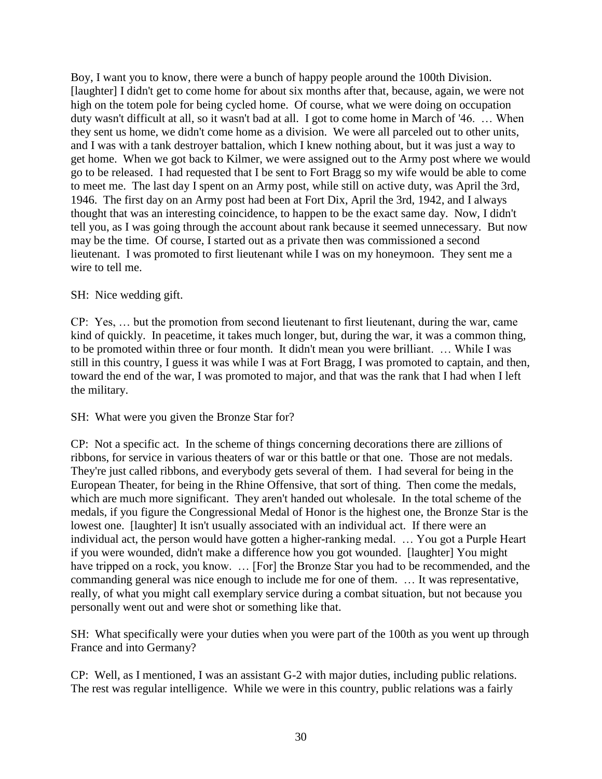Boy, I want you to know, there were a bunch of happy people around the 100th Division. [laughter] I didn't get to come home for about six months after that, because, again, we were not high on the totem pole for being cycled home. Of course, what we were doing on occupation duty wasn't difficult at all, so it wasn't bad at all. I got to come home in March of '46. … When they sent us home, we didn't come home as a division. We were all parceled out to other units, and I was with a tank destroyer battalion, which I knew nothing about, but it was just a way to get home. When we got back to Kilmer, we were assigned out to the Army post where we would go to be released. I had requested that I be sent to Fort Bragg so my wife would be able to come to meet me. The last day I spent on an Army post, while still on active duty, was April the 3rd, 1946. The first day on an Army post had been at Fort Dix, April the 3rd, 1942, and I always thought that was an interesting coincidence, to happen to be the exact same day. Now, I didn't tell you, as I was going through the account about rank because it seemed unnecessary. But now may be the time. Of course, I started out as a private then was commissioned a second lieutenant. I was promoted to first lieutenant while I was on my honeymoon. They sent me a wire to tell me.

# SH: Nice wedding gift.

CP: Yes, … but the promotion from second lieutenant to first lieutenant, during the war, came kind of quickly. In peacetime, it takes much longer, but, during the war, it was a common thing, to be promoted within three or four month. It didn't mean you were brilliant. … While I was still in this country, I guess it was while I was at Fort Bragg, I was promoted to captain, and then, toward the end of the war, I was promoted to major, and that was the rank that I had when I left the military.

### SH: What were you given the Bronze Star for?

CP: Not a specific act. In the scheme of things concerning decorations there are zillions of ribbons, for service in various theaters of war or this battle or that one. Those are not medals. They're just called ribbons, and everybody gets several of them. I had several for being in the European Theater, for being in the Rhine Offensive, that sort of thing. Then come the medals, which are much more significant. They aren't handed out wholesale. In the total scheme of the medals, if you figure the Congressional Medal of Honor is the highest one, the Bronze Star is the lowest one. [laughter] It isn't usually associated with an individual act. If there were an individual act, the person would have gotten a higher-ranking medal. … You got a Purple Heart if you were wounded, didn't make a difference how you got wounded. [laughter] You might have tripped on a rock, you know. ... [For] the Bronze Star you had to be recommended, and the commanding general was nice enough to include me for one of them. … It was representative, really, of what you might call exemplary service during a combat situation, but not because you personally went out and were shot or something like that.

SH: What specifically were your duties when you were part of the 100th as you went up through France and into Germany?

CP: Well, as I mentioned, I was an assistant G-2 with major duties, including public relations. The rest was regular intelligence. While we were in this country, public relations was a fairly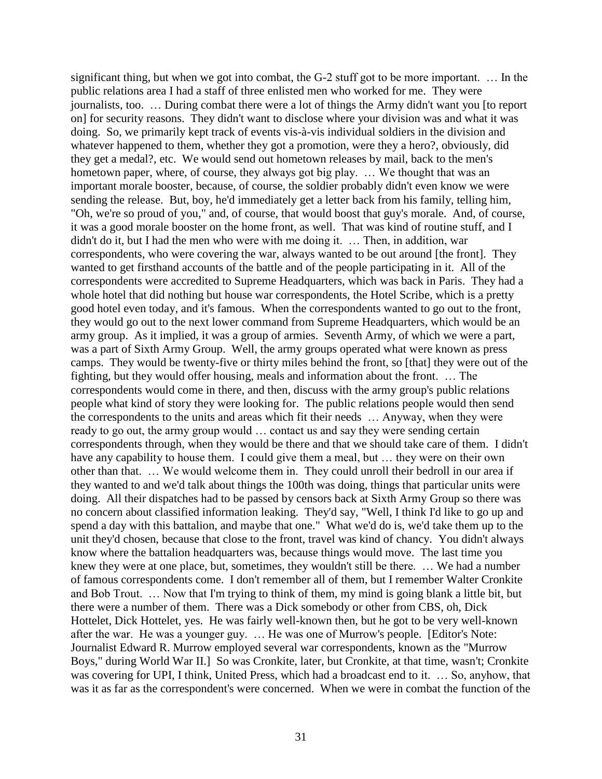significant thing, but when we got into combat, the G-2 stuff got to be more important. … In the public relations area I had a staff of three enlisted men who worked for me. They were journalists, too. … During combat there were a lot of things the Army didn't want you [to report on] for security reasons. They didn't want to disclose where your division was and what it was doing. So, we primarily kept track of events vis-à-vis individual soldiers in the division and whatever happened to them, whether they got a promotion, were they a hero?, obviously, did they get a medal?, etc. We would send out hometown releases by mail, back to the men's hometown paper, where, of course, they always got big play. … We thought that was an important morale booster, because, of course, the soldier probably didn't even know we were sending the release. But, boy, he'd immediately get a letter back from his family, telling him, "Oh, we're so proud of you," and, of course, that would boost that guy's morale. And, of course, it was a good morale booster on the home front, as well. That was kind of routine stuff, and I didn't do it, but I had the men who were with me doing it. … Then, in addition, war correspondents, who were covering the war, always wanted to be out around [the front]. They wanted to get firsthand accounts of the battle and of the people participating in it. All of the correspondents were accredited to Supreme Headquarters, which was back in Paris. They had a whole hotel that did nothing but house war correspondents, the Hotel Scribe, which is a pretty good hotel even today, and it's famous. When the correspondents wanted to go out to the front, they would go out to the next lower command from Supreme Headquarters, which would be an army group. As it implied, it was a group of armies. Seventh Army, of which we were a part, was a part of Sixth Army Group. Well, the army groups operated what were known as press camps. They would be twenty-five or thirty miles behind the front, so [that] they were out of the fighting, but they would offer housing, meals and information about the front. … The correspondents would come in there, and then, discuss with the army group's public relations people what kind of story they were looking for. The public relations people would then send the correspondents to the units and areas which fit their needs … Anyway, when they were ready to go out, the army group would … contact us and say they were sending certain correspondents through, when they would be there and that we should take care of them. I didn't have any capability to house them. I could give them a meal, but ... they were on their own other than that. … We would welcome them in. They could unroll their bedroll in our area if they wanted to and we'd talk about things the 100th was doing, things that particular units were doing. All their dispatches had to be passed by censors back at Sixth Army Group so there was no concern about classified information leaking. They'd say, "Well, I think I'd like to go up and spend a day with this battalion, and maybe that one." What we'd do is, we'd take them up to the unit they'd chosen, because that close to the front, travel was kind of chancy. You didn't always know where the battalion headquarters was, because things would move. The last time you knew they were at one place, but, sometimes, they wouldn't still be there. … We had a number of famous correspondents come. I don't remember all of them, but I remember Walter Cronkite and Bob Trout. … Now that I'm trying to think of them, my mind is going blank a little bit, but there were a number of them. There was a Dick somebody or other from CBS, oh, Dick Hottelet, Dick Hottelet, yes. He was fairly well-known then, but he got to be very well-known after the war. He was a younger guy. … He was one of Murrow's people. [Editor's Note: Journalist Edward R. Murrow employed several war correspondents, known as the "Murrow Boys," during World War II.] So was Cronkite, later, but Cronkite, at that time, wasn't; Cronkite was covering for UPI, I think, United Press, which had a broadcast end to it. … So, anyhow, that was it as far as the correspondent's were concerned. When we were in combat the function of the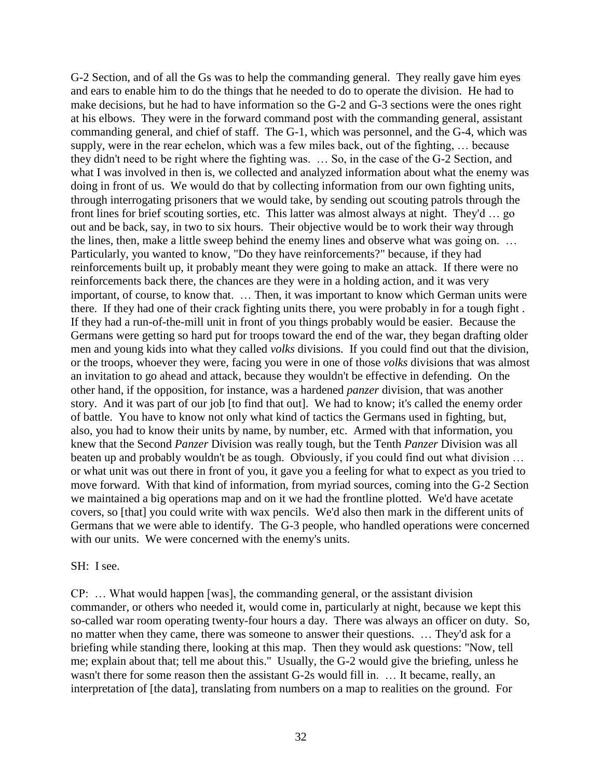G-2 Section, and of all the Gs was to help the commanding general. They really gave him eyes and ears to enable him to do the things that he needed to do to operate the division. He had to make decisions, but he had to have information so the G-2 and G-3 sections were the ones right at his elbows. They were in the forward command post with the commanding general, assistant commanding general, and chief of staff. The G-1, which was personnel, and the G-4, which was supply, were in the rear echelon, which was a few miles back, out of the fighting, … because they didn't need to be right where the fighting was. … So, in the case of the G-2 Section, and what I was involved in then is, we collected and analyzed information about what the enemy was doing in front of us. We would do that by collecting information from our own fighting units, through interrogating prisoners that we would take, by sending out scouting patrols through the front lines for brief scouting sorties, etc. This latter was almost always at night. They'd … go out and be back, say, in two to six hours. Their objective would be to work their way through the lines, then, make a little sweep behind the enemy lines and observe what was going on. … Particularly, you wanted to know, "Do they have reinforcements?" because, if they had reinforcements built up, it probably meant they were going to make an attack. If there were no reinforcements back there, the chances are they were in a holding action, and it was very important, of course, to know that. … Then, it was important to know which German units were there. If they had one of their crack fighting units there, you were probably in for a tough fight . If they had a run-of-the-mill unit in front of you things probably would be easier. Because the Germans were getting so hard put for troops toward the end of the war, they began drafting older men and young kids into what they called *volks* divisions. If you could find out that the division, or the troops, whoever they were, facing you were in one of those *volks* divisions that was almost an invitation to go ahead and attack, because they wouldn't be effective in defending. On the other hand, if the opposition, for instance, was a hardened *panzer* division, that was another story. And it was part of our job [to find that out]. We had to know; it's called the enemy order of battle. You have to know not only what kind of tactics the Germans used in fighting, but, also, you had to know their units by name, by number, etc. Armed with that information, you knew that the Second *Panzer* Division was really tough, but the Tenth *Panzer* Division was all beaten up and probably wouldn't be as tough. Obviously, if you could find out what division ... or what unit was out there in front of you, it gave you a feeling for what to expect as you tried to move forward. With that kind of information, from myriad sources, coming into the G-2 Section we maintained a big operations map and on it we had the frontline plotted. We'd have acetate covers, so [that] you could write with wax pencils. We'd also then mark in the different units of Germans that we were able to identify. The G-3 people, who handled operations were concerned with our units. We were concerned with the enemy's units.

#### SH: I see.

CP: … What would happen [was], the commanding general, or the assistant division commander, or others who needed it, would come in, particularly at night, because we kept this so-called war room operating twenty-four hours a day. There was always an officer on duty. So, no matter when they came, there was someone to answer their questions. … They'd ask for a briefing while standing there, looking at this map. Then they would ask questions: "Now, tell me; explain about that; tell me about this." Usually, the G-2 would give the briefing, unless he wasn't there for some reason then the assistant G-2s would fill in. … It became, really, an interpretation of [the data], translating from numbers on a map to realities on the ground. For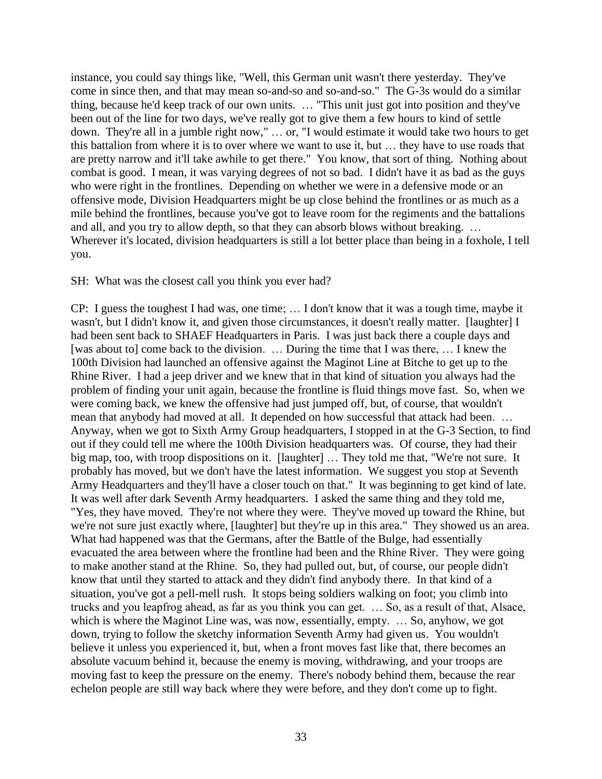instance, you could say things like, "Well, this German unit wasn't there yesterday. They've come in since then, and that may mean so-and-so and so-and-so." The G-3s would do a similar thing, because he'd keep track of our own units. … "This unit just got into position and they've been out of the line for two days, we've really got to give them a few hours to kind of settle down. They're all in a jumble right now," … or, "I would estimate it would take two hours to get this battalion from where it is to over where we want to use it, but … they have to use roads that are pretty narrow and it'll take awhile to get there." You know, that sort of thing. Nothing about combat is good. I mean, it was varying degrees of not so bad. I didn't have it as bad as the guys who were right in the frontlines. Depending on whether we were in a defensive mode or an offensive mode, Division Headquarters might be up close behind the frontlines or as much as a mile behind the frontlines, because you've got to leave room for the regiments and the battalions and all, and you try to allow depth, so that they can absorb blows without breaking. … Wherever it's located, division headquarters is still a lot better place than being in a foxhole, I tell you.

### SH: What was the closest call you think you ever had?

CP: I guess the toughest I had was, one time; … I don't know that it was a tough time, maybe it wasn't, but I didn't know it, and given those circumstances, it doesn't really matter. [laughter] I had been sent back to SHAEF Headquarters in Paris. I was just back there a couple days and [was about to] come back to the division. … During the time that I was there, … I knew the 100th Division had launched an offensive against the Maginot Line at Bitche to get up to the Rhine River. I had a jeep driver and we knew that in that kind of situation you always had the problem of finding your unit again, because the frontline is fluid things move fast. So, when we were coming back, we knew the offensive had just jumped off, but, of course, that wouldn't mean that anybody had moved at all. It depended on how successful that attack had been. … Anyway, when we got to Sixth Army Group headquarters, I stopped in at the G-3 Section, to find out if they could tell me where the 100th Division headquarters was. Of course, they had their big map, too, with troop dispositions on it. [laughter] ... They told me that, "We're not sure. It probably has moved, but we don't have the latest information. We suggest you stop at Seventh Army Headquarters and they'll have a closer touch on that." It was beginning to get kind of late. It was well after dark Seventh Army headquarters. I asked the same thing and they told me, "Yes, they have moved. They're not where they were. They've moved up toward the Rhine, but we're not sure just exactly where, [laughter] but they're up in this area." They showed us an area. What had happened was that the Germans, after the Battle of the Bulge, had essentially evacuated the area between where the frontline had been and the Rhine River. They were going to make another stand at the Rhine. So, they had pulled out, but, of course, our people didn't know that until they started to attack and they didn't find anybody there. In that kind of a situation, you've got a pell-mell rush. It stops being soldiers walking on foot; you climb into trucks and you leapfrog ahead, as far as you think you can get. … So, as a result of that, Alsace, which is where the Maginot Line was, was now, essentially, empty. ... So, anyhow, we got down, trying to follow the sketchy information Seventh Army had given us. You wouldn't believe it unless you experienced it, but, when a front moves fast like that, there becomes an absolute vacuum behind it, because the enemy is moving, withdrawing, and your troops are moving fast to keep the pressure on the enemy. There's nobody behind them, because the rear echelon people are still way back where they were before, and they don't come up to fight.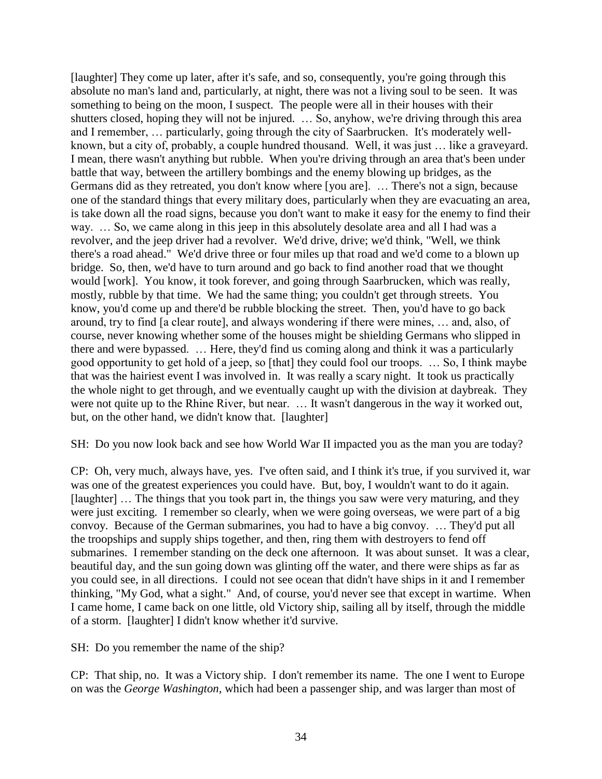[laughter] They come up later, after it's safe, and so, consequently, you're going through this absolute no man's land and, particularly, at night, there was not a living soul to be seen. It was something to being on the moon, I suspect. The people were all in their houses with their shutters closed, hoping they will not be injured. ... So, anyhow, we're driving through this area and I remember, … particularly, going through the city of Saarbrucken. It's moderately wellknown, but a city of, probably, a couple hundred thousand. Well, it was just … like a graveyard. I mean, there wasn't anything but rubble. When you're driving through an area that's been under battle that way, between the artillery bombings and the enemy blowing up bridges, as the Germans did as they retreated, you don't know where [you are]. … There's not a sign, because one of the standard things that every military does, particularly when they are evacuating an area, is take down all the road signs, because you don't want to make it easy for the enemy to find their way. … So, we came along in this jeep in this absolutely desolate area and all I had was a revolver, and the jeep driver had a revolver. We'd drive, drive; we'd think, "Well, we think there's a road ahead." We'd drive three or four miles up that road and we'd come to a blown up bridge. So, then, we'd have to turn around and go back to find another road that we thought would [work]. You know, it took forever, and going through Saarbrucken, which was really, mostly, rubble by that time. We had the same thing; you couldn't get through streets. You know, you'd come up and there'd be rubble blocking the street. Then, you'd have to go back around, try to find [a clear route], and always wondering if there were mines, … and, also, of course, never knowing whether some of the houses might be shielding Germans who slipped in there and were bypassed. … Here, they'd find us coming along and think it was a particularly good opportunity to get hold of a jeep, so [that] they could fool our troops. … So, I think maybe that was the hairiest event I was involved in. It was really a scary night. It took us practically the whole night to get through, and we eventually caught up with the division at daybreak. They were not quite up to the Rhine River, but near. … It wasn't dangerous in the way it worked out, but, on the other hand, we didn't know that. [laughter]

SH: Do you now look back and see how World War II impacted you as the man you are today?

CP: Oh, very much, always have, yes. I've often said, and I think it's true, if you survived it, war was one of the greatest experiences you could have. But, boy, I wouldn't want to do it again. [laughter] ... The things that you took part in, the things you saw were very maturing, and they were just exciting. I remember so clearly, when we were going overseas, we were part of a big convoy. Because of the German submarines, you had to have a big convoy. … They'd put all the troopships and supply ships together, and then, ring them with destroyers to fend off submarines. I remember standing on the deck one afternoon. It was about sunset. It was a clear, beautiful day, and the sun going down was glinting off the water, and there were ships as far as you could see, in all directions. I could not see ocean that didn't have ships in it and I remember thinking, "My God, what a sight." And, of course, you'd never see that except in wartime. When I came home, I came back on one little, old Victory ship, sailing all by itself, through the middle of a storm. [laughter] I didn't know whether it'd survive.

SH: Do you remember the name of the ship?

CP: That ship, no. It was a Victory ship. I don't remember its name. The one I went to Europe on was the *George Washington*, which had been a passenger ship, and was larger than most of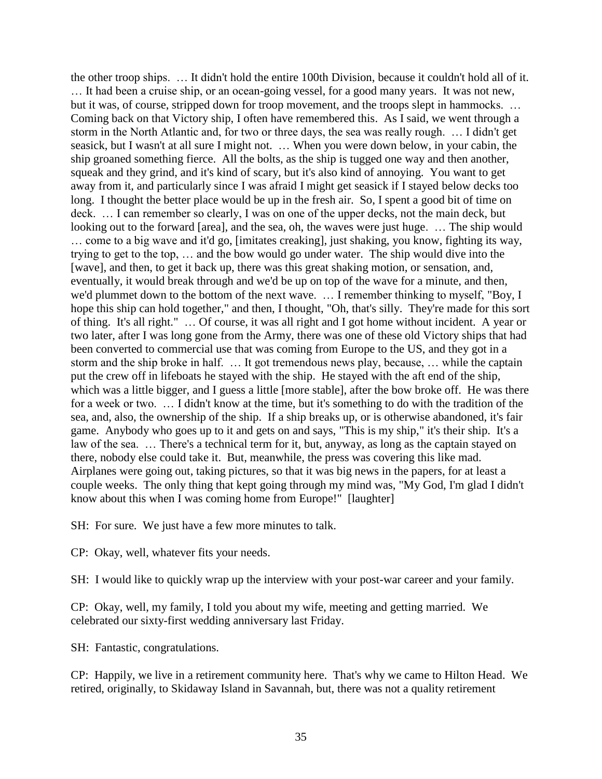the other troop ships. … It didn't hold the entire 100th Division, because it couldn't hold all of it. … It had been a cruise ship, or an ocean-going vessel, for a good many years. It was not new, but it was, of course, stripped down for troop movement, and the troops slept in hammocks. ... Coming back on that Victory ship, I often have remembered this. As I said, we went through a storm in the North Atlantic and, for two or three days, the sea was really rough. … I didn't get seasick, but I wasn't at all sure I might not. … When you were down below, in your cabin, the ship groaned something fierce. All the bolts, as the ship is tugged one way and then another, squeak and they grind, and it's kind of scary, but it's also kind of annoying. You want to get away from it, and particularly since I was afraid I might get seasick if I stayed below decks too long. I thought the better place would be up in the fresh air. So, I spent a good bit of time on deck. ... I can remember so clearly, I was on one of the upper decks, not the main deck, but looking out to the forward [area], and the sea, oh, the waves were just huge. … The ship would

… come to a big wave and it'd go, [imitates creaking], just shaking, you know, fighting its way, trying to get to the top, … and the bow would go under water. The ship would dive into the [wave], and then, to get it back up, there was this great shaking motion, or sensation, and, eventually, it would break through and we'd be up on top of the wave for a minute, and then, we'd plummet down to the bottom of the next wave. … I remember thinking to myself, "Boy, I hope this ship can hold together," and then, I thought, "Oh, that's silly. They're made for this sort of thing. It's all right." … Of course, it was all right and I got home without incident. A year or two later, after I was long gone from the Army, there was one of these old Victory ships that had been converted to commercial use that was coming from Europe to the US, and they got in a storm and the ship broke in half. … It got tremendous news play, because, … while the captain put the crew off in lifeboats he stayed with the ship. He stayed with the aft end of the ship, which was a little bigger, and I guess a little [more stable], after the bow broke off. He was there for a week or two. … I didn't know at the time, but it's something to do with the tradition of the sea, and, also, the ownership of the ship. If a ship breaks up, or is otherwise abandoned, it's fair game. Anybody who goes up to it and gets on and says, "This is my ship," it's their ship. It's a law of the sea. … There's a technical term for it, but, anyway, as long as the captain stayed on there, nobody else could take it. But, meanwhile, the press was covering this like mad. Airplanes were going out, taking pictures, so that it was big news in the papers, for at least a couple weeks. The only thing that kept going through my mind was, "My God, I'm glad I didn't know about this when I was coming home from Europe!" [laughter]

SH: For sure. We just have a few more minutes to talk.

CP: Okay, well, whatever fits your needs.

SH: I would like to quickly wrap up the interview with your post-war career and your family.

CP: Okay, well, my family, I told you about my wife, meeting and getting married. We celebrated our sixty-first wedding anniversary last Friday.

SH: Fantastic, congratulations.

CP: Happily, we live in a retirement community here. That's why we came to Hilton Head. We retired, originally, to Skidaway Island in Savannah, but, there was not a quality retirement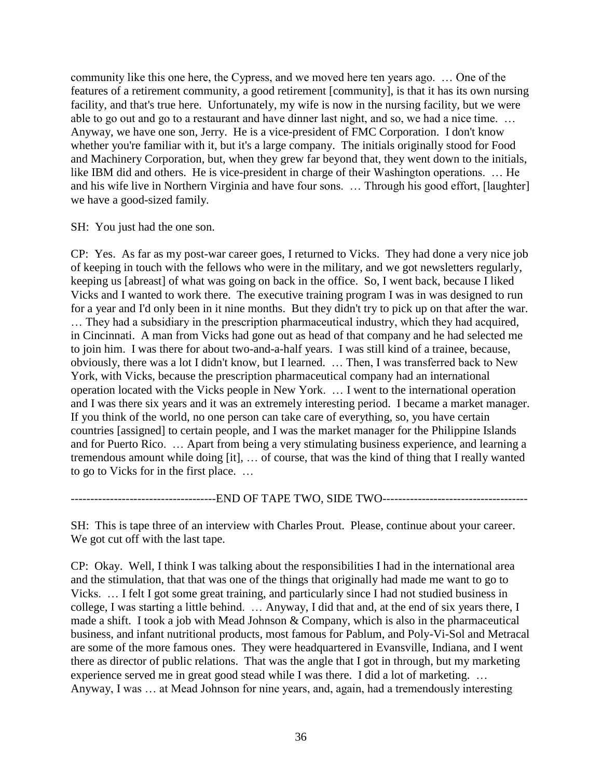community like this one here, the Cypress, and we moved here ten years ago. … One of the features of a retirement community, a good retirement [community], is that it has its own nursing facility, and that's true here. Unfortunately, my wife is now in the nursing facility, but we were able to go out and go to a restaurant and have dinner last night, and so, we had a nice time. … Anyway, we have one son, Jerry. He is a vice-president of FMC Corporation. I don't know whether you're familiar with it, but it's a large company. The initials originally stood for Food and Machinery Corporation, but, when they grew far beyond that, they went down to the initials, like IBM did and others. He is vice-president in charge of their Washington operations. … He and his wife live in Northern Virginia and have four sons. … Through his good effort, [laughter] we have a good-sized family.

SH: You just had the one son.

CP: Yes. As far as my post-war career goes, I returned to Vicks. They had done a very nice job of keeping in touch with the fellows who were in the military, and we got newsletters regularly, keeping us [abreast] of what was going on back in the office. So, I went back, because I liked Vicks and I wanted to work there. The executive training program I was in was designed to run for a year and I'd only been in it nine months. But they didn't try to pick up on that after the war. … They had a subsidiary in the prescription pharmaceutical industry, which they had acquired, in Cincinnati. A man from Vicks had gone out as head of that company and he had selected me to join him. I was there for about two-and-a-half years. I was still kind of a trainee, because, obviously, there was a lot I didn't know, but I learned. … Then, I was transferred back to New York, with Vicks, because the prescription pharmaceutical company had an international operation located with the Vicks people in New York. … I went to the international operation and I was there six years and it was an extremely interesting period. I became a market manager. If you think of the world, no one person can take care of everything, so, you have certain countries [assigned] to certain people, and I was the market manager for the Philippine Islands and for Puerto Rico. … Apart from being a very stimulating business experience, and learning a tremendous amount while doing [it], … of course, that was the kind of thing that I really wanted to go to Vicks for in the first place. …

---------------------------END OF TAPE TWO, SIDE TWO-----------------------------------

SH: This is tape three of an interview with Charles Prout. Please, continue about your career. We got cut off with the last tape.

CP: Okay. Well, I think I was talking about the responsibilities I had in the international area and the stimulation, that that was one of the things that originally had made me want to go to Vicks. … I felt I got some great training, and particularly since I had not studied business in college, I was starting a little behind. … Anyway, I did that and, at the end of six years there, I made a shift. I took a job with Mead Johnson & Company, which is also in the pharmaceutical business, and infant nutritional products, most famous for Pablum, and Poly-Vi-Sol and Metracal are some of the more famous ones. They were headquartered in Evansville, Indiana, and I went there as director of public relations. That was the angle that I got in through, but my marketing experience served me in great good stead while I was there. I did a lot of marketing. … Anyway, I was … at Mead Johnson for nine years, and, again, had a tremendously interesting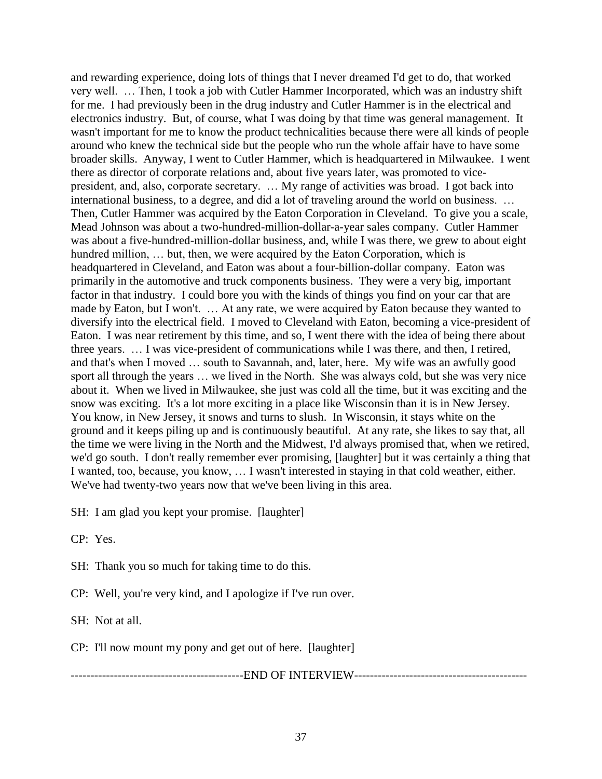and rewarding experience, doing lots of things that I never dreamed I'd get to do, that worked very well. … Then, I took a job with Cutler Hammer Incorporated, which was an industry shift for me. I had previously been in the drug industry and Cutler Hammer is in the electrical and electronics industry. But, of course, what I was doing by that time was general management. It wasn't important for me to know the product technicalities because there were all kinds of people around who knew the technical side but the people who run the whole affair have to have some broader skills. Anyway, I went to Cutler Hammer, which is headquartered in Milwaukee. I went there as director of corporate relations and, about five years later, was promoted to vicepresident, and, also, corporate secretary. … My range of activities was broad. I got back into international business, to a degree, and did a lot of traveling around the world on business. … Then, Cutler Hammer was acquired by the Eaton Corporation in Cleveland. To give you a scale, Mead Johnson was about a two-hundred-million-dollar-a-year sales company. Cutler Hammer was about a five-hundred-million-dollar business, and, while I was there, we grew to about eight hundred million, ... but, then, we were acquired by the Eaton Corporation, which is headquartered in Cleveland, and Eaton was about a four-billion-dollar company. Eaton was primarily in the automotive and truck components business. They were a very big, important factor in that industry. I could bore you with the kinds of things you find on your car that are made by Eaton, but I won't. … At any rate, we were acquired by Eaton because they wanted to diversify into the electrical field. I moved to Cleveland with Eaton, becoming a vice-president of Eaton. I was near retirement by this time, and so, I went there with the idea of being there about three years. … I was vice-president of communications while I was there, and then, I retired, and that's when I moved … south to Savannah, and, later, here. My wife was an awfully good sport all through the years … we lived in the North. She was always cold, but she was very nice about it. When we lived in Milwaukee, she just was cold all the time, but it was exciting and the snow was exciting. It's a lot more exciting in a place like Wisconsin than it is in New Jersey. You know, in New Jersey, it snows and turns to slush. In Wisconsin, it stays white on the ground and it keeps piling up and is continuously beautiful. At any rate, she likes to say that, all the time we were living in the North and the Midwest, I'd always promised that, when we retired, we'd go south. I don't really remember ever promising, [laughter] but it was certainly a thing that I wanted, too, because, you know, … I wasn't interested in staying in that cold weather, either. We've had twenty-two years now that we've been living in this area.

SH: I am glad you kept your promise. [laughter]

CP: Yes.

SH: Thank you so much for taking time to do this.

CP: Well, you're very kind, and I apologize if I've run over.

SH: Not at all.

CP: I'll now mount my pony and get out of here. [laughter]

--------------------------------------------END OF INTERVIEW--------------------------------------------